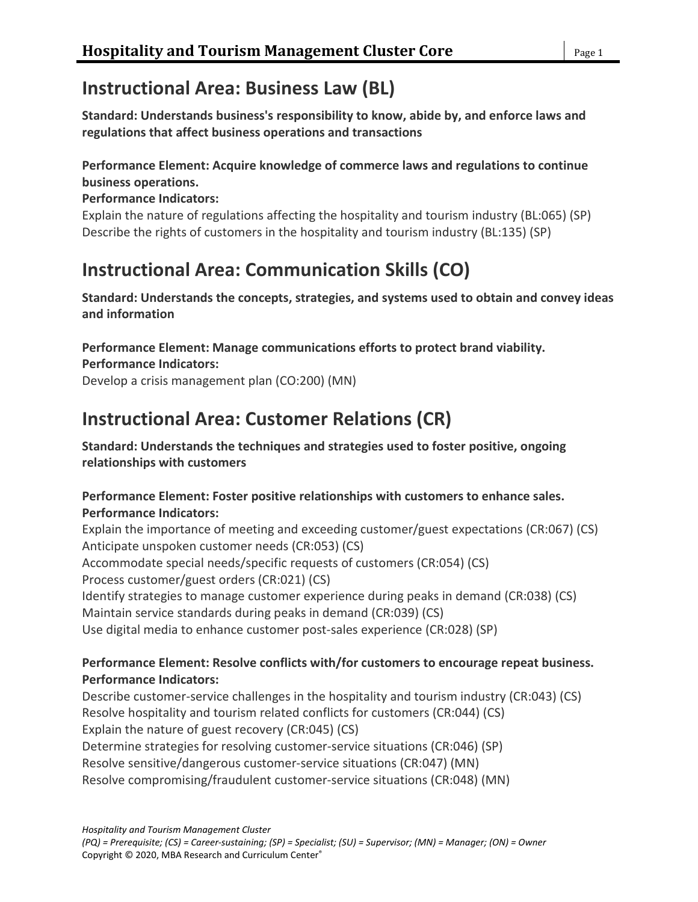# **Instructional Area: Business Law (BL)**

**Standard: Understands business's responsibility to know, abide by, and enforce laws and regulations that affect business operations and transactions**

## **Performance Element: Acquire knowledge of commerce laws and regulations to continue business operations.**

### **Performance Indicators:**

Explain the nature of regulations affecting the hospitality and tourism industry (BL:065) (SP) Describe the rights of customers in the hospitality and tourism industry (BL:135) (SP)

# **Instructional Area: Communication Skills (CO)**

**Standard: Understands the concepts, strategies, and systems used to obtain and convey ideas and information**

**Performance Element: Manage communications efforts to protect brand viability. Performance Indicators:**

Develop a crisis management plan (CO:200) (MN)

# **Instructional Area: Customer Relations (CR)**

**Standard: Understands the techniques and strategies used to foster positive, ongoing relationships with customers**

### **Performance Element: Foster positive relationships with customers to enhance sales. Performance Indicators:**

Explain the importance of meeting and exceeding customer/guest expectations (CR:067) (CS) Anticipate unspoken customer needs (CR:053) (CS) Accommodate special needs/specific requests of customers (CR:054) (CS) Process customer/guest orders (CR:021) (CS) Identify strategies to manage customer experience during peaks in demand (CR:038) (CS) Maintain service standards during peaks in demand (CR:039) (CS) Use digital media to enhance customer post-sales experience (CR:028) (SP)

## **Performance Element: Resolve conflicts with/for customers to encourage repeat business. Performance Indicators:**

Describe customer-service challenges in the hospitality and tourism industry (CR:043) (CS) Resolve hospitality and tourism related conflicts for customers (CR:044) (CS) Explain the nature of guest recovery (CR:045) (CS) Determine strategies for resolving customer-service situations (CR:046) (SP) Resolve sensitive/dangerous customer-service situations (CR:047) (MN) Resolve compromising/fraudulent customer-service situations (CR:048) (MN)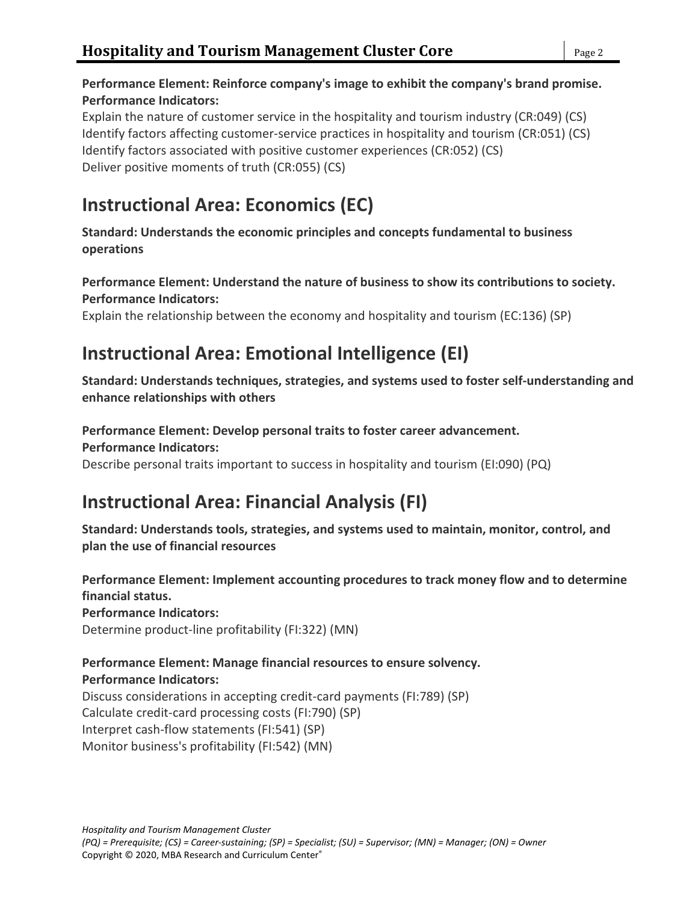## **Performance Element: Reinforce company's image to exhibit the company's brand promise. Performance Indicators:**

Explain the nature of customer service in the hospitality and tourism industry (CR:049) (CS) Identify factors affecting customer-service practices in hospitality and tourism (CR:051) (CS) Identify factors associated with positive customer experiences (CR:052) (CS) Deliver positive moments of truth (CR:055) (CS)

# **Instructional Area: Economics (EC)**

**Standard: Understands the economic principles and concepts fundamental to business operations**

## **Performance Element: Understand the nature of business to show its contributions to society. Performance Indicators:**

Explain the relationship between the economy and hospitality and tourism (EC:136) (SP)

# **Instructional Area: Emotional Intelligence (EI)**

**Standard: Understands techniques, strategies, and systems used to foster self-understanding and enhance relationships with others**

#### **Performance Element: Develop personal traits to foster career advancement. Performance Indicators:**

Describe personal traits important to success in hospitality and tourism (EI:090) (PQ)

# **Instructional Area: Financial Analysis (FI)**

**Standard: Understands tools, strategies, and systems used to maintain, monitor, control, and plan the use of financial resources**

**Performance Element: Implement accounting procedures to track money flow and to determine financial status. Performance Indicators:**

Determine product-line profitability (FI:322) (MN)

## **Performance Element: Manage financial resources to ensure solvency.**

### **Performance Indicators:**

Discuss considerations in accepting credit-card payments (FI:789) (SP) Calculate credit-card processing costs (FI:790) (SP) Interpret cash-flow statements (FI:541) (SP) Monitor business's profitability (FI:542) (MN)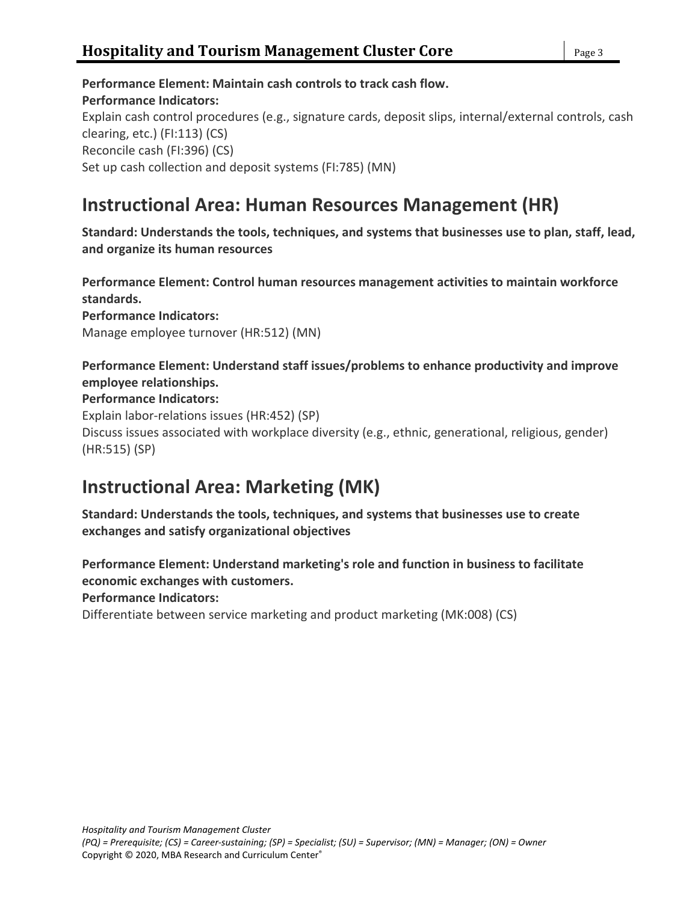**Performance Element: Maintain cash controls to track cash flow. Performance Indicators:** Explain cash control procedures (e.g., signature cards, deposit slips, internal/external controls, cash clearing, etc.) (FI:113) (CS) Reconcile cash (FI:396) (CS) Set up cash collection and deposit systems (FI:785) (MN)

## **Instructional Area: Human Resources Management (HR)**

**Standard: Understands the tools, techniques, and systems that businesses use to plan, staff, lead, and organize its human resources**

**Performance Element: Control human resources management activities to maintain workforce standards. Performance Indicators:** Manage employee turnover (HR:512) (MN)

## **Performance Element: Understand staff issues/problems to enhance productivity and improve employee relationships.**

### **Performance Indicators:**

Explain labor-relations issues (HR:452) (SP) Discuss issues associated with workplace diversity (e.g., ethnic, generational, religious, gender) (HR:515) (SP)

## **Instructional Area: Marketing (MK)**

**Standard: Understands the tools, techniques, and systems that businesses use to create exchanges and satisfy organizational objectives**

**Performance Element: Understand marketing's role and function in business to facilitate economic exchanges with customers.**

**Performance Indicators:**

Differentiate between service marketing and product marketing (MK:008) (CS)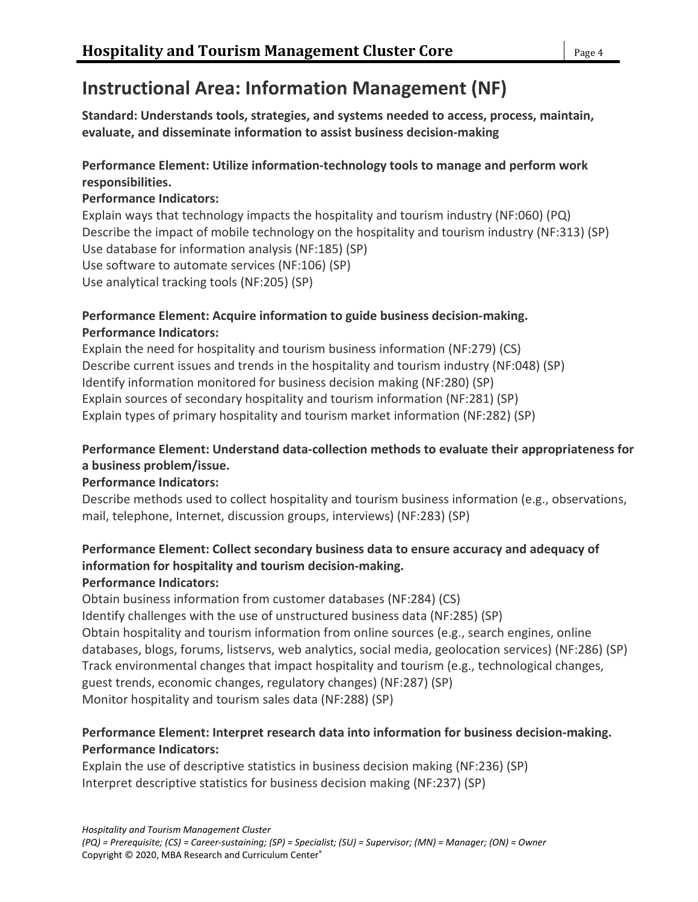# **Instructional Area: Information Management (NF)**

**Standard: Understands tools, strategies, and systems needed to access, process, maintain, evaluate, and disseminate information to assist business decision-making**

## **Performance Element: Utilize information-technology tools to manage and perform work responsibilities.**

## **Performance Indicators:**

Explain ways that technology impacts the hospitality and tourism industry (NF:060) (PQ) Describe the impact of mobile technology on the hospitality and tourism industry (NF:313) (SP) Use database for information analysis (NF:185) (SP) Use software to automate services (NF:106) (SP) Use analytical tracking tools (NF:205) (SP)

### **Performance Element: Acquire information to guide business decision-making. Performance Indicators:**

Explain the need for hospitality and tourism business information (NF:279) (CS) Describe current issues and trends in the hospitality and tourism industry (NF:048) (SP) Identify information monitored for business decision making (NF:280) (SP) Explain sources of secondary hospitality and tourism information (NF:281) (SP) Explain types of primary hospitality and tourism market information (NF:282) (SP)

## **Performance Element: Understand data-collection methods to evaluate their appropriateness for a business problem/issue.**

## **Performance Indicators:**

Describe methods used to collect hospitality and tourism business information (e.g., observations, mail, telephone, Internet, discussion groups, interviews) (NF:283) (SP)

## **Performance Element: Collect secondary business data to ensure accuracy and adequacy of information for hospitality and tourism decision-making.**

## **Performance Indicators:**

Obtain business information from customer databases (NF:284) (CS) Identify challenges with the use of unstructured business data (NF:285) (SP) Obtain hospitality and tourism information from online sources (e.g., search engines, online databases, blogs, forums, listservs, web analytics, social media, geolocation services) (NF:286) (SP) Track environmental changes that impact hospitality and tourism (e.g., technological changes, guest trends, economic changes, regulatory changes) (NF:287) (SP) Monitor hospitality and tourism sales data (NF:288) (SP)

## **Performance Element: Interpret research data into information for business decision-making. Performance Indicators:**

Explain the use of descriptive statistics in business decision making (NF:236) (SP) Interpret descriptive statistics for business decision making (NF:237) (SP)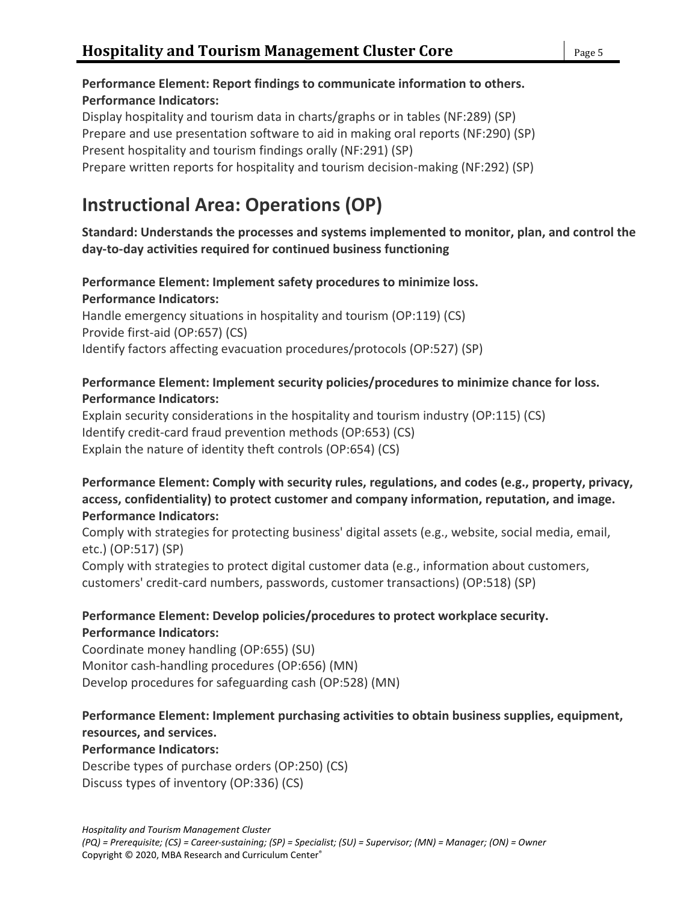## **Performance Element: Report findings to communicate information to others. Performance Indicators:**

Display hospitality and tourism data in charts/graphs or in tables (NF:289) (SP) Prepare and use presentation software to aid in making oral reports (NF:290) (SP) Present hospitality and tourism findings orally (NF:291) (SP) Prepare written reports for hospitality and tourism decision-making (NF:292) (SP)

# **Instructional Area: Operations (OP)**

### **Standard: Understands the processes and systems implemented to monitor, plan, and control the day-to-day activities required for continued business functioning**

## **Performance Element: Implement safety procedures to minimize loss. Performance Indicators:**

Handle emergency situations in hospitality and tourism (OP:119) (CS) Provide first-aid (OP:657) (CS) Identify factors affecting evacuation procedures/protocols (OP:527) (SP)

### **Performance Element: Implement security policies/procedures to minimize chance for loss. Performance Indicators:**

Explain security considerations in the hospitality and tourism industry (OP:115) (CS) Identify credit-card fraud prevention methods (OP:653) (CS) Explain the nature of identity theft controls (OP:654) (CS)

### **Performance Element: Comply with security rules, regulations, and codes (e.g., property, privacy, access, confidentiality) to protect customer and company information, reputation, and image. Performance Indicators:**

Comply with strategies for protecting business' digital assets (e.g., website, social media, email, etc.) (OP:517) (SP)

Comply with strategies to protect digital customer data (e.g., information about customers, customers' credit-card numbers, passwords, customer transactions) (OP:518) (SP)

### **Performance Element: Develop policies/procedures to protect workplace security. Performance Indicators:**

Coordinate money handling (OP:655) (SU) Monitor cash-handling procedures (OP:656) (MN) Develop procedures for safeguarding cash (OP:528) (MN)

## **Performance Element: Implement purchasing activities to obtain business supplies, equipment, resources, and services.**

## **Performance Indicators:**

Describe types of purchase orders (OP:250) (CS) Discuss types of inventory (OP:336) (CS)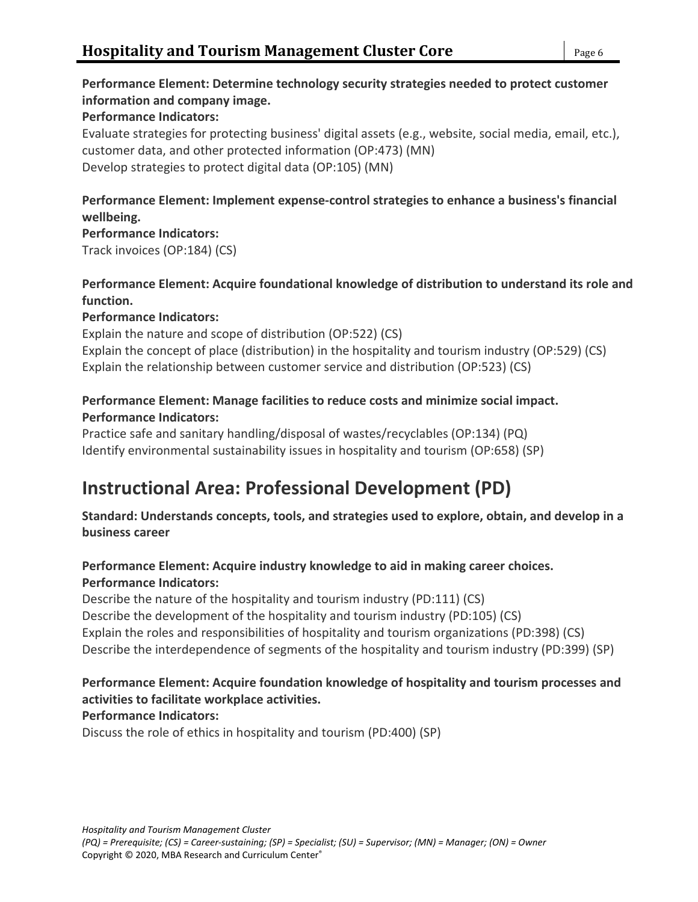## **Performance Element: Determine technology security strategies needed to protect customer information and company image.**

### **Performance Indicators:**

Evaluate strategies for protecting business' digital assets (e.g., website, social media, email, etc.), customer data, and other protected information (OP:473) (MN) Develop strategies to protect digital data (OP:105) (MN)

## **Performance Element: Implement expense-control strategies to enhance a business's financial wellbeing.**

**Performance Indicators:** Track invoices (OP:184) (CS)

### **Performance Element: Acquire foundational knowledge of distribution to understand its role and function.**

### **Performance Indicators:**

Explain the nature and scope of distribution (OP:522) (CS) Explain the concept of place (distribution) in the hospitality and tourism industry (OP:529) (CS) Explain the relationship between customer service and distribution (OP:523) (CS)

## **Performance Element: Manage facilities to reduce costs and minimize social impact.**

### **Performance Indicators:**

Practice safe and sanitary handling/disposal of wastes/recyclables (OP:134) (PQ) Identify environmental sustainability issues in hospitality and tourism (OP:658) (SP)

# **Instructional Area: Professional Development (PD)**

**Standard: Understands concepts, tools, and strategies used to explore, obtain, and develop in a business career**

## **Performance Element: Acquire industry knowledge to aid in making career choices. Performance Indicators:**

Describe the nature of the hospitality and tourism industry (PD:111) (CS) Describe the development of the hospitality and tourism industry (PD:105) (CS) Explain the roles and responsibilities of hospitality and tourism organizations (PD:398) (CS) Describe the interdependence of segments of the hospitality and tourism industry (PD:399) (SP)

## **Performance Element: Acquire foundation knowledge of hospitality and tourism processes and activities to facilitate workplace activities.**

## **Performance Indicators:**

Discuss the role of ethics in hospitality and tourism (PD:400) (SP)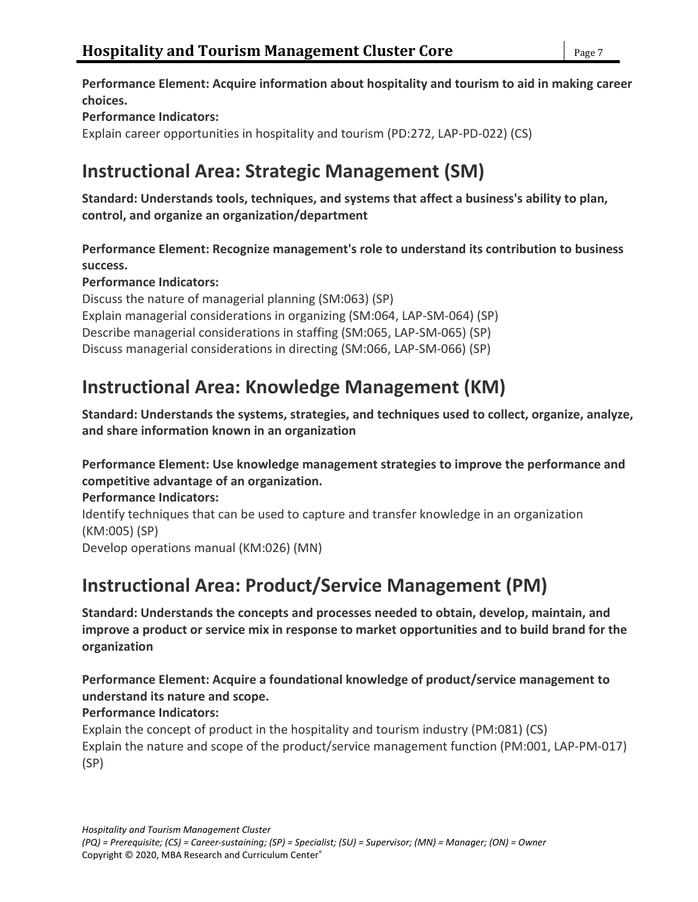**Performance Element: Acquire information about hospitality and tourism to aid in making career choices.**

### **Performance Indicators:**

Explain career opportunities in hospitality and tourism (PD:272, LAP-PD-022) (CS)

# **Instructional Area: Strategic Management (SM)**

**Standard: Understands tools, techniques, and systems that affect a business's ability to plan, control, and organize an organization/department**

**Performance Element: Recognize management's role to understand its contribution to business success.**

### **Performance Indicators:**

Discuss the nature of managerial planning (SM:063) (SP) Explain managerial considerations in organizing (SM:064, LAP-SM-064) (SP) Describe managerial considerations in staffing (SM:065, LAP-SM-065) (SP) Discuss managerial considerations in directing (SM:066, LAP-SM-066) (SP)

## **Instructional Area: Knowledge Management (KM)**

**Standard: Understands the systems, strategies, and techniques used to collect, organize, analyze, and share information known in an organization**

### **Performance Element: Use knowledge management strategies to improve the performance and competitive advantage of an organization.**

**Performance Indicators:**

Identify techniques that can be used to capture and transfer knowledge in an organization (KM:005) (SP) Develop operations manual (KM:026) (MN)

# **Instructional Area: Product/Service Management (PM)**

**Standard: Understands the concepts and processes needed to obtain, develop, maintain, and improve a product or service mix in response to market opportunities and to build brand for the organization**

### **Performance Element: Acquire a foundational knowledge of product/service management to understand its nature and scope.**

## **Performance Indicators:**

Explain the concept of product in the hospitality and tourism industry (PM:081) (CS) Explain the nature and scope of the product/service management function (PM:001, LAP-PM-017) (SP)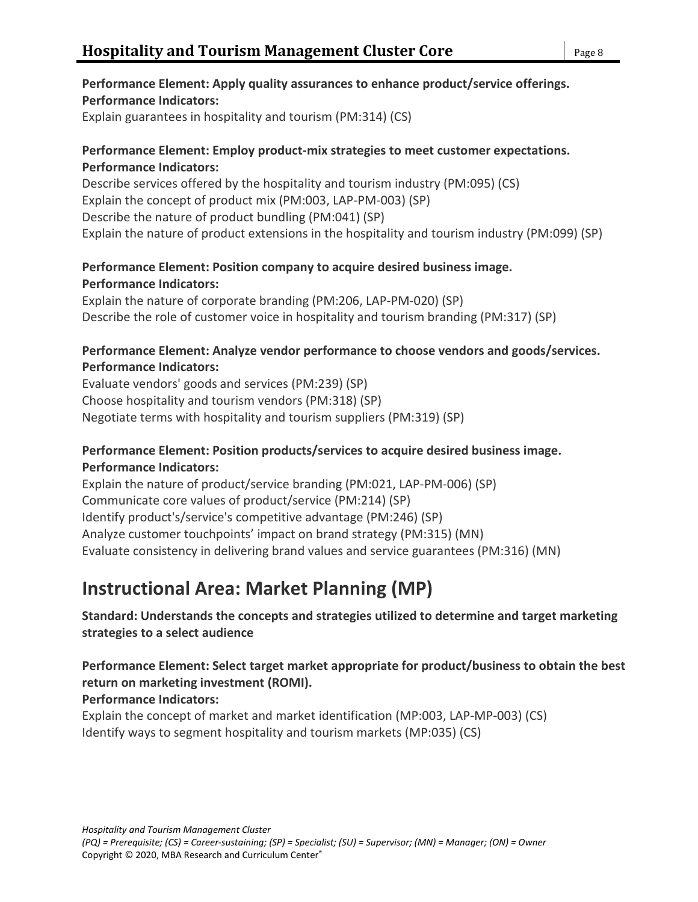## **Performance Element: Apply quality assurances to enhance product/service offerings. Performance Indicators:**

Explain guarantees in hospitality and tourism (PM:314) (CS)

### **Performance Element: Employ product-mix strategies to meet customer expectations. Performance Indicators:**

Describe services offered by the hospitality and tourism industry (PM:095) (CS) Explain the concept of product mix (PM:003, LAP-PM-003) (SP) Describe the nature of product bundling (PM:041) (SP) Explain the nature of product extensions in the hospitality and tourism industry (PM:099) (SP)

## **Performance Element: Position company to acquire desired business image. Performance Indicators:**

Explain the nature of corporate branding (PM:206, LAP-PM-020) (SP) Describe the role of customer voice in hospitality and tourism branding (PM:317) (SP)

### **Performance Element: Analyze vendor performance to choose vendors and goods/services. Performance Indicators:**

Evaluate vendors' goods and services (PM:239) (SP) Choose hospitality and tourism vendors (PM:318) (SP) Negotiate terms with hospitality and tourism suppliers (PM:319) (SP)

### **Performance Element: Position products/services to acquire desired business image. Performance Indicators:**

Explain the nature of product/service branding (PM:021, LAP-PM-006) (SP) Communicate core values of product/service (PM:214) (SP) Identify product's/service's competitive advantage (PM:246) (SP) Analyze customer touchpoints' impact on brand strategy (PM:315) (MN) Evaluate consistency in delivering brand values and service guarantees (PM:316) (MN)

# **Instructional Area: Market Planning (MP)**

**Standard: Understands the concepts and strategies utilized to determine and target marketing strategies to a select audience**

## **Performance Element: Select target market appropriate for product/business to obtain the best return on marketing investment (ROMI).**

## **Performance Indicators:**

Explain the concept of market and market identification (MP:003, LAP-MP-003) (CS) Identify ways to segment hospitality and tourism markets (MP:035) (CS)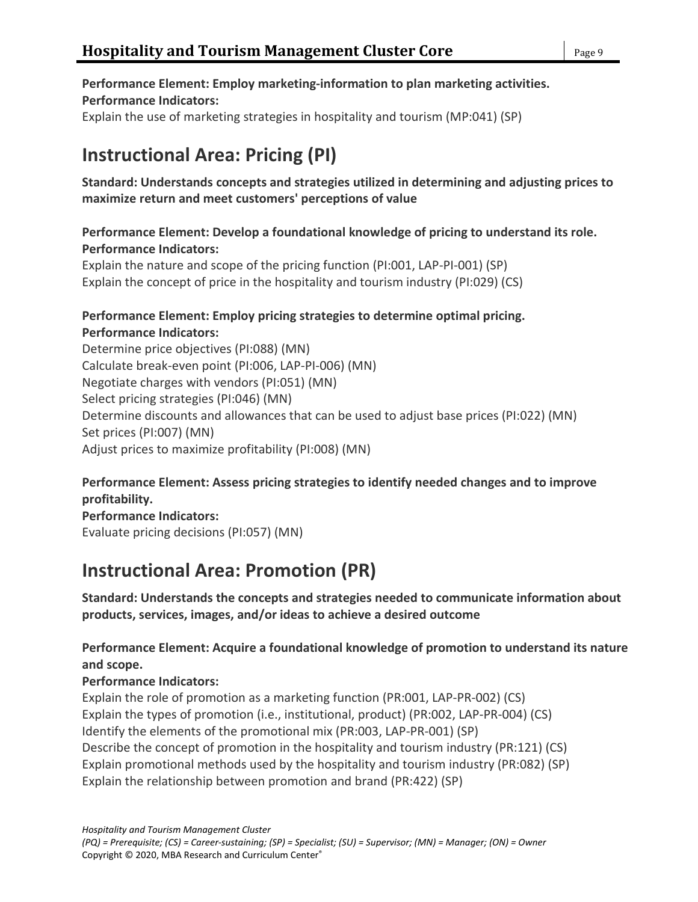## **Performance Element: Employ marketing-information to plan marketing activities. Performance Indicators:**

Explain the use of marketing strategies in hospitality and tourism (MP:041) (SP)

# **Instructional Area: Pricing (PI)**

## **Standard: Understands concepts and strategies utilized in determining and adjusting prices to maximize return and meet customers' perceptions of value**

### **Performance Element: Develop a foundational knowledge of pricing to understand its role. Performance Indicators:**

Explain the nature and scope of the pricing function (PI:001, LAP-PI-001) (SP) Explain the concept of price in the hospitality and tourism industry (PI:029) (CS)

### **Performance Element: Employ pricing strategies to determine optimal pricing. Performance Indicators:**

Determine price objectives (PI:088) (MN) Calculate break-even point (PI:006, LAP-PI-006) (MN) Negotiate charges with vendors (PI:051) (MN) Select pricing strategies (PI:046) (MN) Determine discounts and allowances that can be used to adjust base prices (PI:022) (MN) Set prices (PI:007) (MN) Adjust prices to maximize profitability (PI:008) (MN)

## **Performance Element: Assess pricing strategies to identify needed changes and to improve profitability.**

**Performance Indicators:** Evaluate pricing decisions (PI:057) (MN)

# **Instructional Area: Promotion (PR)**

**Standard: Understands the concepts and strategies needed to communicate information about products, services, images, and/or ideas to achieve a desired outcome**

## **Performance Element: Acquire a foundational knowledge of promotion to understand its nature and scope.**

## **Performance Indicators:**

Explain the role of promotion as a marketing function (PR:001, LAP-PR-002) (CS) Explain the types of promotion (i.e., institutional, product) (PR:002, LAP-PR-004) (CS) Identify the elements of the promotional mix (PR:003, LAP-PR-001) (SP) Describe the concept of promotion in the hospitality and tourism industry (PR:121) (CS) Explain promotional methods used by the hospitality and tourism industry (PR:082) (SP) Explain the relationship between promotion and brand (PR:422) (SP)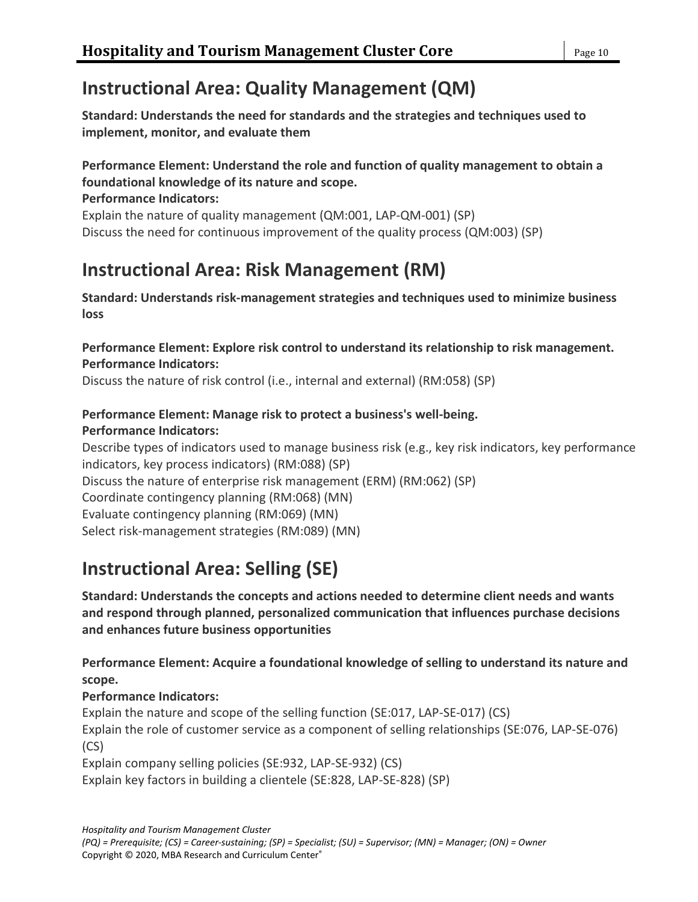# **Instructional Area: Quality Management (QM)**

**Standard: Understands the need for standards and the strategies and techniques used to implement, monitor, and evaluate them**

## **Performance Element: Understand the role and function of quality management to obtain a foundational knowledge of its nature and scope.**

**Performance Indicators:**

Explain the nature of quality management (QM:001, LAP-QM-001) (SP) Discuss the need for continuous improvement of the quality process (QM:003) (SP)

# **Instructional Area: Risk Management (RM)**

**Standard: Understands risk-management strategies and techniques used to minimize business loss**

**Performance Element: Explore risk control to understand its relationship to risk management. Performance Indicators:**

Discuss the nature of risk control (i.e., internal and external) (RM:058) (SP)

#### **Performance Element: Manage risk to protect a business's well-being. Performance Indicators:**

Describe types of indicators used to manage business risk (e.g., key risk indicators, key performance indicators, key process indicators) (RM:088) (SP) Discuss the nature of enterprise risk management (ERM) (RM:062) (SP) Coordinate contingency planning (RM:068) (MN) Evaluate contingency planning (RM:069) (MN) Select risk-management strategies (RM:089) (MN)

# **Instructional Area: Selling (SE)**

**Standard: Understands the concepts and actions needed to determine client needs and wants and respond through planned, personalized communication that influences purchase decisions and enhances future business opportunities**

## **Performance Element: Acquire a foundational knowledge of selling to understand its nature and scope.**

## **Performance Indicators:**

Explain the nature and scope of the selling function (SE:017, LAP-SE-017) (CS) Explain the role of customer service as a component of selling relationships (SE:076, LAP-SE-076) (CS) Explain company selling policies (SE:932, LAP-SE-932) (CS)

Explain key factors in building a clientele (SE:828, LAP-SE-828) (SP)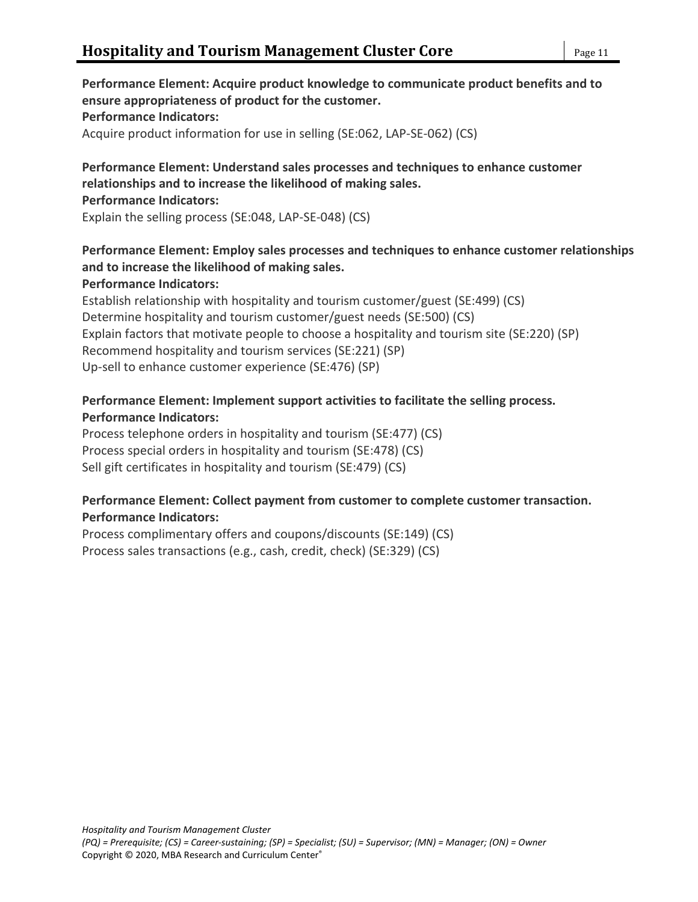### **Performance Element: Acquire product knowledge to communicate product benefits and to ensure appropriateness of product for the customer. Performance Indicators:** Acquire product information for use in selling (SE:062, LAP-SE-062) (CS)

#### **Performance Element: Understand sales processes and techniques to enhance customer relationships and to increase the likelihood of making sales.**

#### **Performance Indicators:**

Explain the selling process (SE:048, LAP-SE-048) (CS)

## **Performance Element: Employ sales processes and techniques to enhance customer relationships and to increase the likelihood of making sales.**

### **Performance Indicators:**

Establish relationship with hospitality and tourism customer/guest (SE:499) (CS) Determine hospitality and tourism customer/guest needs (SE:500) (CS) Explain factors that motivate people to choose a hospitality and tourism site (SE:220) (SP) Recommend hospitality and tourism services (SE:221) (SP) Up-sell to enhance customer experience (SE:476) (SP)

### **Performance Element: Implement support activities to facilitate the selling process. Performance Indicators:**

Process telephone orders in hospitality and tourism (SE:477) (CS) Process special orders in hospitality and tourism (SE:478) (CS) Sell gift certificates in hospitality and tourism (SE:479) (CS)

### **Performance Element: Collect payment from customer to complete customer transaction. Performance Indicators:**

Process complimentary offers and coupons/discounts (SE:149) (CS) Process sales transactions (e.g., cash, credit, check) (SE:329) (CS)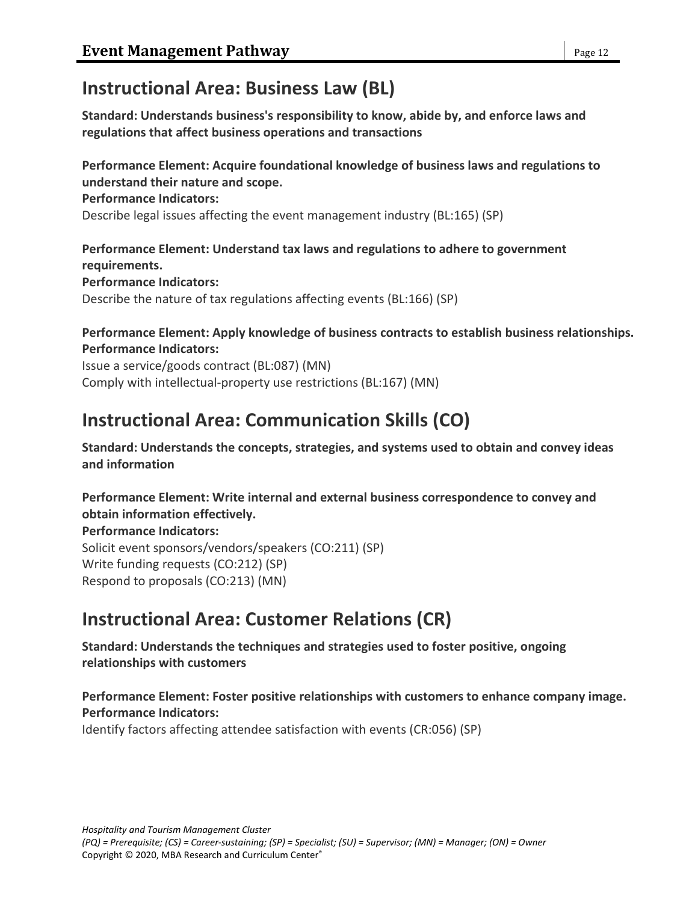## **Instructional Area: Business Law (BL)**

**Standard: Understands business's responsibility to know, abide by, and enforce laws and regulations that affect business operations and transactions**

## **Performance Element: Acquire foundational knowledge of business laws and regulations to understand their nature and scope.**

#### **Performance Indicators:**

Describe legal issues affecting the event management industry (BL:165) (SP)

**Performance Element: Understand tax laws and regulations to adhere to government requirements. Performance Indicators:** Describe the nature of tax regulations affecting events (BL:166) (SP)

## **Performance Element: Apply knowledge of business contracts to establish business relationships. Performance Indicators:**

Issue a service/goods contract (BL:087) (MN) Comply with intellectual-property use restrictions (BL:167) (MN)

# **Instructional Area: Communication Skills (CO)**

**Standard: Understands the concepts, strategies, and systems used to obtain and convey ideas and information**

**Performance Element: Write internal and external business correspondence to convey and obtain information effectively. Performance Indicators:** Solicit event sponsors/vendors/speakers (CO:211) (SP)

Write funding requests (CO:212) (SP) Respond to proposals (CO:213) (MN)

# **Instructional Area: Customer Relations (CR)**

**Standard: Understands the techniques and strategies used to foster positive, ongoing relationships with customers**

### **Performance Element: Foster positive relationships with customers to enhance company image. Performance Indicators:**

Identify factors affecting attendee satisfaction with events (CR:056) (SP)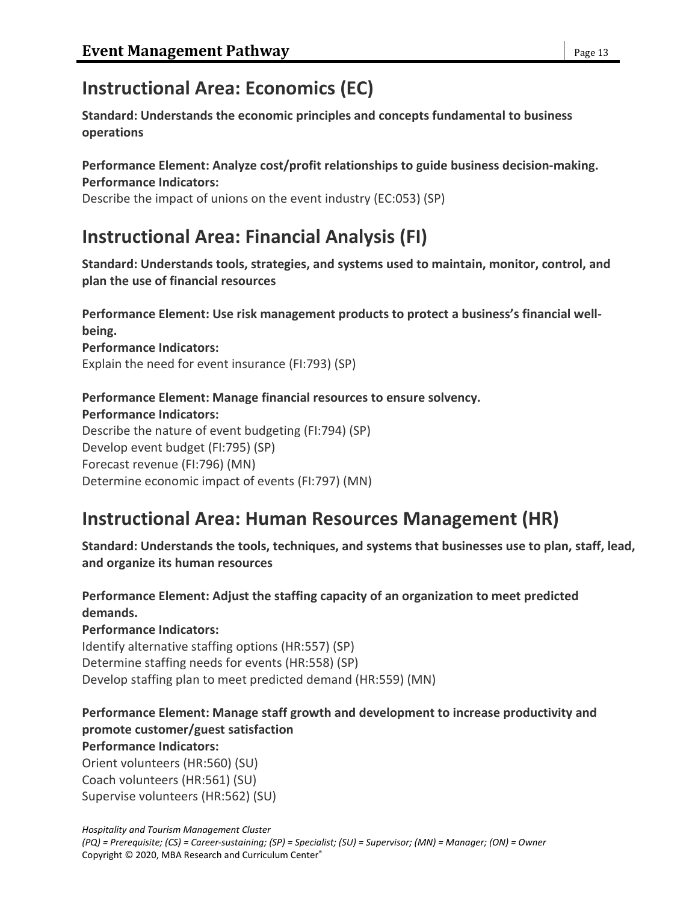# **Instructional Area: Economics (EC)**

**Standard: Understands the economic principles and concepts fundamental to business operations**

### **Performance Element: Analyze cost/profit relationships to guide business decision-making. Performance Indicators:**

Describe the impact of unions on the event industry (EC:053) (SP)

# **Instructional Area: Financial Analysis (FI)**

**Standard: Understands tools, strategies, and systems used to maintain, monitor, control, and plan the use of financial resources**

**Performance Element: Use risk management products to protect a business's financial wellbeing.**

### **Performance Indicators:**

Explain the need for event insurance (FI:793) (SP)

#### **Performance Element: Manage financial resources to ensure solvency. Performance Indicators:**

Describe the nature of event budgeting (FI:794) (SP) Develop event budget (FI:795) (SP) Forecast revenue (FI:796) (MN) Determine economic impact of events (FI:797) (MN)

## **Instructional Area: Human Resources Management (HR)**

**Standard: Understands the tools, techniques, and systems that businesses use to plan, staff, lead, and organize its human resources**

## **Performance Element: Adjust the staffing capacity of an organization to meet predicted demands.**

## **Performance Indicators:**

Identify alternative staffing options (HR:557) (SP) Determine staffing needs for events (HR:558) (SP) Develop staffing plan to meet predicted demand (HR:559) (MN)

## **Performance Element: Manage staff growth and development to increase productivity and promote customer/guest satisfaction**

## **Performance Indicators:**

Orient volunteers (HR:560) (SU) Coach volunteers (HR:561) (SU) Supervise volunteers (HR:562) (SU)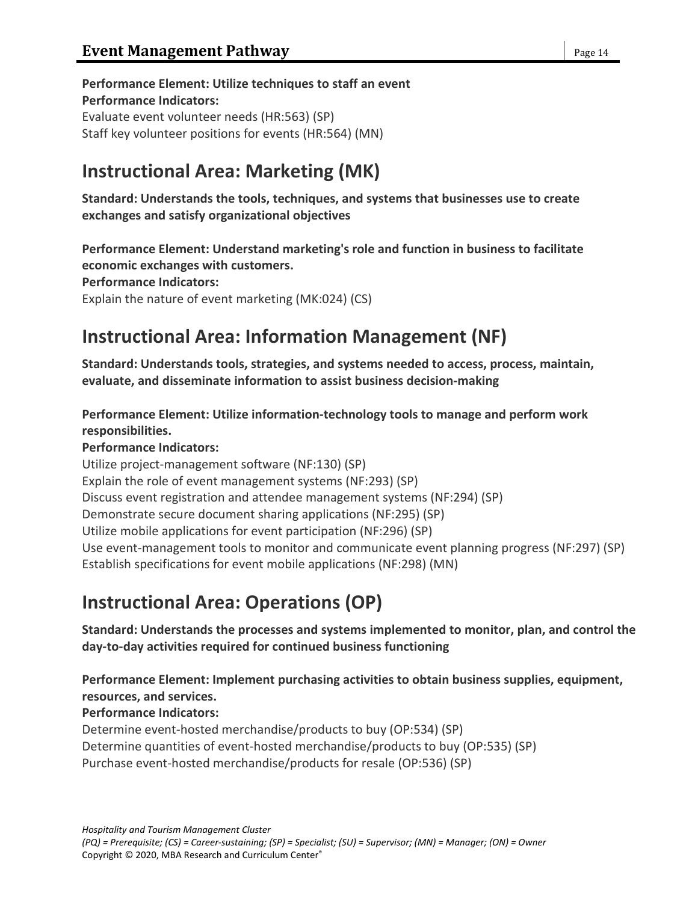**Performance Element: Utilize techniques to staff an event Performance Indicators:** Evaluate event volunteer needs (HR:563) (SP) Staff key volunteer positions for events (HR:564) (MN)

# **Instructional Area: Marketing (MK)**

**Standard: Understands the tools, techniques, and systems that businesses use to create exchanges and satisfy organizational objectives**

**Performance Element: Understand marketing's role and function in business to facilitate economic exchanges with customers. Performance Indicators:** Explain the nature of event marketing (MK:024) (CS)

# **Instructional Area: Information Management (NF)**

**Standard: Understands tools, strategies, and systems needed to access, process, maintain, evaluate, and disseminate information to assist business decision-making**

**Performance Element: Utilize information-technology tools to manage and perform work responsibilities.**

**Performance Indicators:**

Utilize project-management software (NF:130) (SP) Explain the role of event management systems (NF:293) (SP) Discuss event registration and attendee management systems (NF:294) (SP) Demonstrate secure document sharing applications (NF:295) (SP) Utilize mobile applications for event participation (NF:296) (SP) Use event-management tools to monitor and communicate event planning progress (NF:297) (SP) Establish specifications for event mobile applications (NF:298) (MN)

# **Instructional Area: Operations (OP)**

**Standard: Understands the processes and systems implemented to monitor, plan, and control the day-to-day activities required for continued business functioning**

**Performance Element: Implement purchasing activities to obtain business supplies, equipment, resources, and services.**

**Performance Indicators:**

Determine event-hosted merchandise/products to buy (OP:534) (SP) Determine quantities of event-hosted merchandise/products to buy (OP:535) (SP) Purchase event-hosted merchandise/products for resale (OP:536) (SP)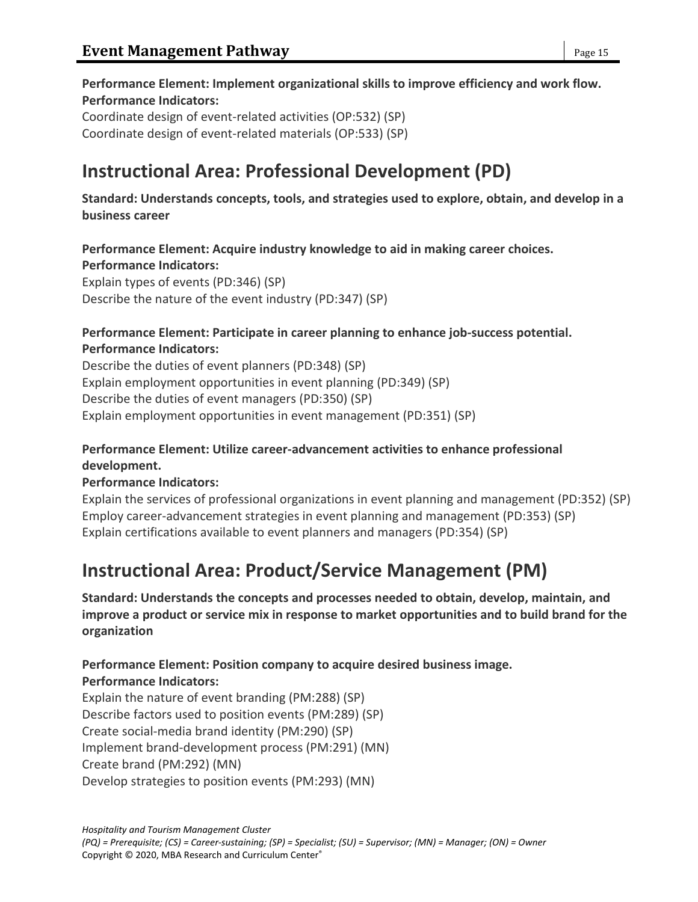## **Performance Element: Implement organizational skills to improve efficiency and work flow. Performance Indicators:**

Coordinate design of event-related activities (OP:532) (SP) Coordinate design of event-related materials (OP:533) (SP)

# **Instructional Area: Professional Development (PD)**

**Standard: Understands concepts, tools, and strategies used to explore, obtain, and develop in a business career**

## **Performance Element: Acquire industry knowledge to aid in making career choices.**

**Performance Indicators:**

Explain types of events (PD:346) (SP) Describe the nature of the event industry (PD:347) (SP)

## **Performance Element: Participate in career planning to enhance job-success potential. Performance Indicators:**

Describe the duties of event planners (PD:348) (SP) Explain employment opportunities in event planning (PD:349) (SP) Describe the duties of event managers (PD:350) (SP) Explain employment opportunities in event management (PD:351) (SP)

## **Performance Element: Utilize career-advancement activities to enhance professional development.**

## **Performance Indicators:**

Explain the services of professional organizations in event planning and management (PD:352) (SP) Employ career-advancement strategies in event planning and management (PD:353) (SP) Explain certifications available to event planners and managers (PD:354) (SP)

# **Instructional Area: Product/Service Management (PM)**

**Standard: Understands the concepts and processes needed to obtain, develop, maintain, and improve a product or service mix in response to market opportunities and to build brand for the organization**

### **Performance Element: Position company to acquire desired business image. Performance Indicators:**

Explain the nature of event branding (PM:288) (SP) Describe factors used to position events (PM:289) (SP) Create social-media brand identity (PM:290) (SP) Implement brand-development process (PM:291) (MN) Create brand (PM:292) (MN) Develop strategies to position events (PM:293) (MN)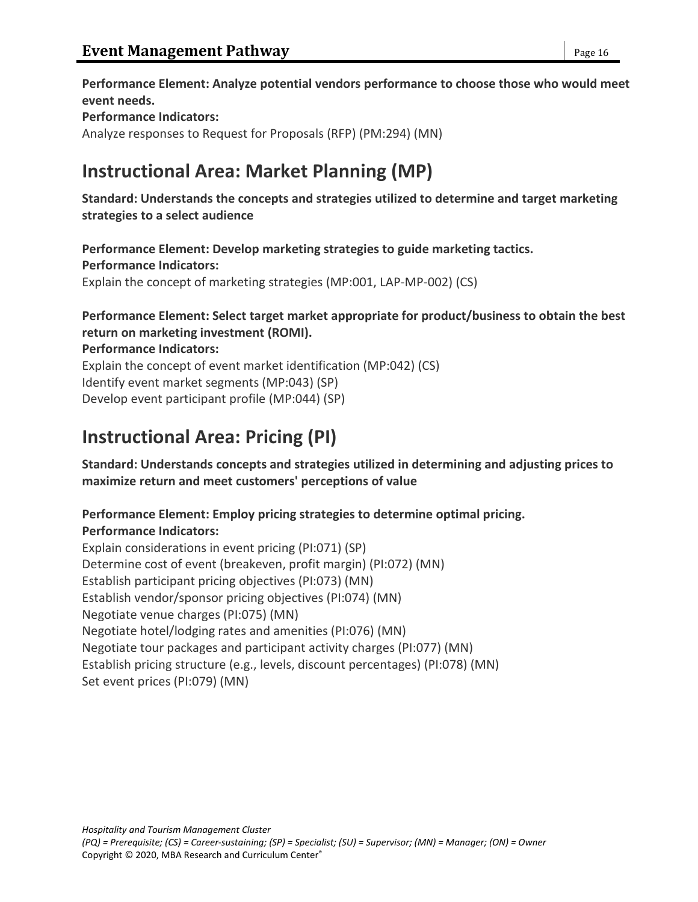**Performance Element: Analyze potential vendors performance to choose those who would meet event needs. Performance Indicators:** Analyze responses to Request for Proposals (RFP) (PM:294) (MN)

## **Instructional Area: Market Planning (MP)**

**Standard: Understands the concepts and strategies utilized to determine and target marketing strategies to a select audience**

**Performance Element: Develop marketing strategies to guide marketing tactics. Performance Indicators:** Explain the concept of marketing strategies (MP:001, LAP-MP-002) (CS)

## **Performance Element: Select target market appropriate for product/business to obtain the best return on marketing investment (ROMI).**

**Performance Indicators:**

Explain the concept of event market identification (MP:042) (CS) Identify event market segments (MP:043) (SP) Develop event participant profile (MP:044) (SP)

# **Instructional Area: Pricing (PI)**

**Standard: Understands concepts and strategies utilized in determining and adjusting prices to maximize return and meet customers' perceptions of value**

## **Performance Element: Employ pricing strategies to determine optimal pricing. Performance Indicators:**

Explain considerations in event pricing (PI:071) (SP) Determine cost of event (breakeven, profit margin) (PI:072) (MN) Establish participant pricing objectives (PI:073) (MN) Establish vendor/sponsor pricing objectives (PI:074) (MN) Negotiate venue charges (PI:075) (MN) Negotiate hotel/lodging rates and amenities (PI:076) (MN) Negotiate tour packages and participant activity charges (PI:077) (MN) Establish pricing structure (e.g., levels, discount percentages) (PI:078) (MN) Set event prices (PI:079) (MN)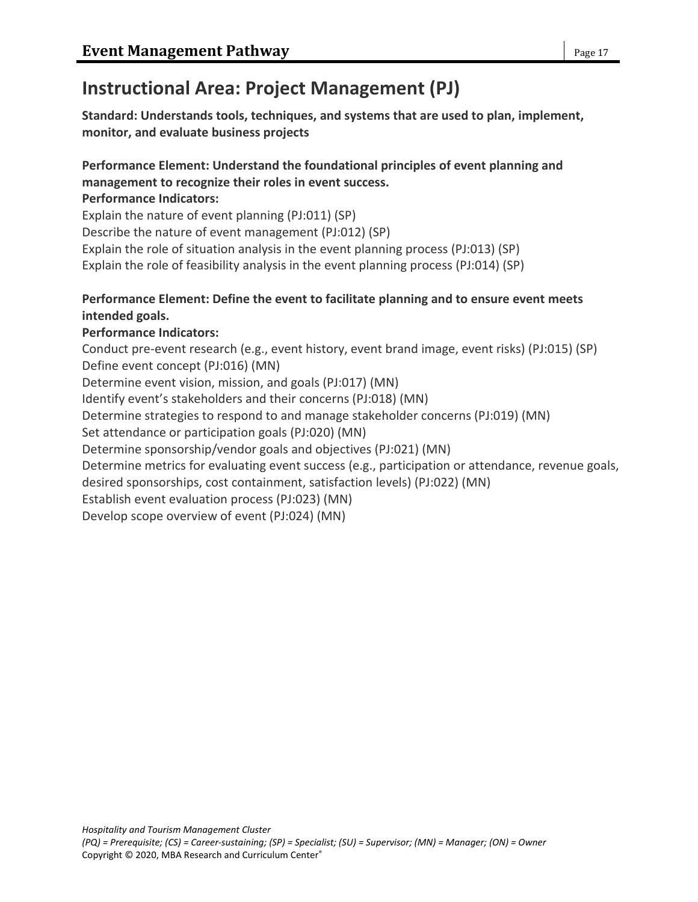# **Instructional Area: Project Management (PJ)**

**Standard: Understands tools, techniques, and systems that are used to plan, implement, monitor, and evaluate business projects**

## **Performance Element: Understand the foundational principles of event planning and management to recognize their roles in event success.**

### **Performance Indicators:**

Explain the nature of event planning (PJ:011) (SP)

Describe the nature of event management (PJ:012) (SP)

Explain the role of situation analysis in the event planning process (PJ:013) (SP)

Explain the role of feasibility analysis in the event planning process (PJ:014) (SP)

## **Performance Element: Define the event to facilitate planning and to ensure event meets intended goals.**

## **Performance Indicators:**

Conduct pre-event research (e.g., event history, event brand image, event risks) (PJ:015) (SP) Define event concept (PJ:016) (MN) Determine event vision, mission, and goals (PJ:017) (MN) Identify event's stakeholders and their concerns (PJ:018) (MN)

Determine strategies to respond to and manage stakeholder concerns (PJ:019) (MN)

Set attendance or participation goals (PJ:020) (MN)

Determine sponsorship/vendor goals and objectives (PJ:021) (MN)

Determine metrics for evaluating event success (e.g., participation or attendance, revenue goals,

desired sponsorships, cost containment, satisfaction levels) (PJ:022) (MN)

Establish event evaluation process (PJ:023) (MN)

Develop scope overview of event (PJ:024) (MN)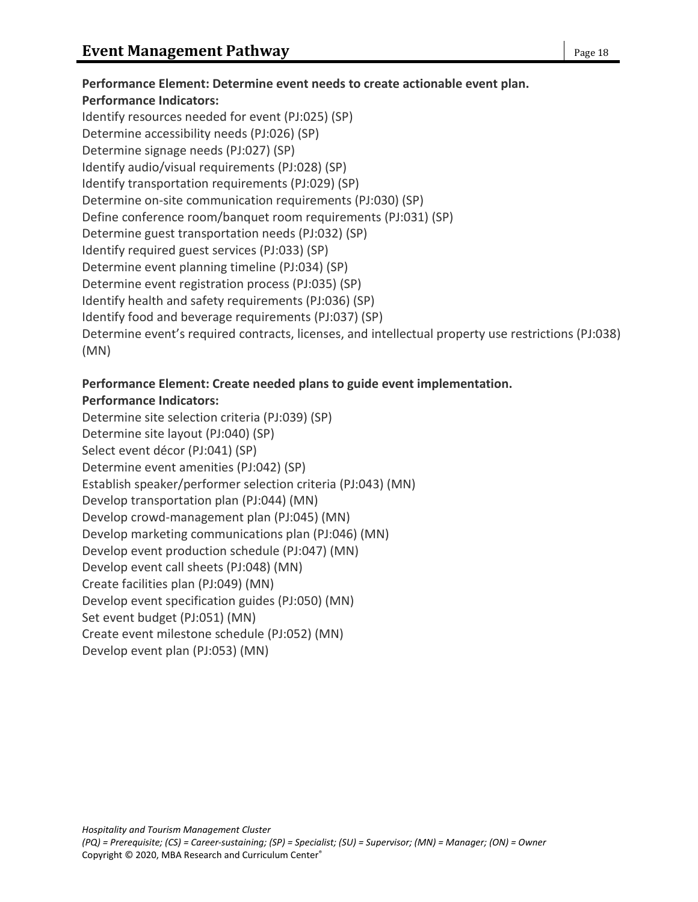## **Performance Element: Determine event needs to create actionable event plan. Performance Indicators:** Identify resources needed for event (PJ:025) (SP) Determine accessibility needs (PJ:026) (SP) Determine signage needs (PJ:027) (SP) Identify audio/visual requirements (PJ:028) (SP) Identify transportation requirements (PJ:029) (SP) Determine on-site communication requirements (PJ:030) (SP) Define conference room/banquet room requirements (PJ:031) (SP) Determine guest transportation needs (PJ:032) (SP) Identify required guest services (PJ:033) (SP) Determine event planning timeline (PJ:034) (SP) Determine event registration process (PJ:035) (SP) Identify health and safety requirements (PJ:036) (SP) Identify food and beverage requirements (PJ:037) (SP) Determine event's required contracts, licenses, and intellectual property use restrictions (PJ:038) (MN)

## **Performance Element: Create needed plans to guide event implementation. Performance Indicators:**

Determine site selection criteria (PJ:039) (SP) Determine site layout (PJ:040) (SP) Select event décor (PJ:041) (SP) Determine event amenities (PJ:042) (SP) Establish speaker/performer selection criteria (PJ:043) (MN) Develop transportation plan (PJ:044) (MN) Develop crowd-management plan (PJ:045) (MN) Develop marketing communications plan (PJ:046) (MN) Develop event production schedule (PJ:047) (MN) Develop event call sheets (PJ:048) (MN) Create facilities plan (PJ:049) (MN) Develop event specification guides (PJ:050) (MN) Set event budget (PJ:051) (MN) Create event milestone schedule (PJ:052) (MN) Develop event plan (PJ:053) (MN)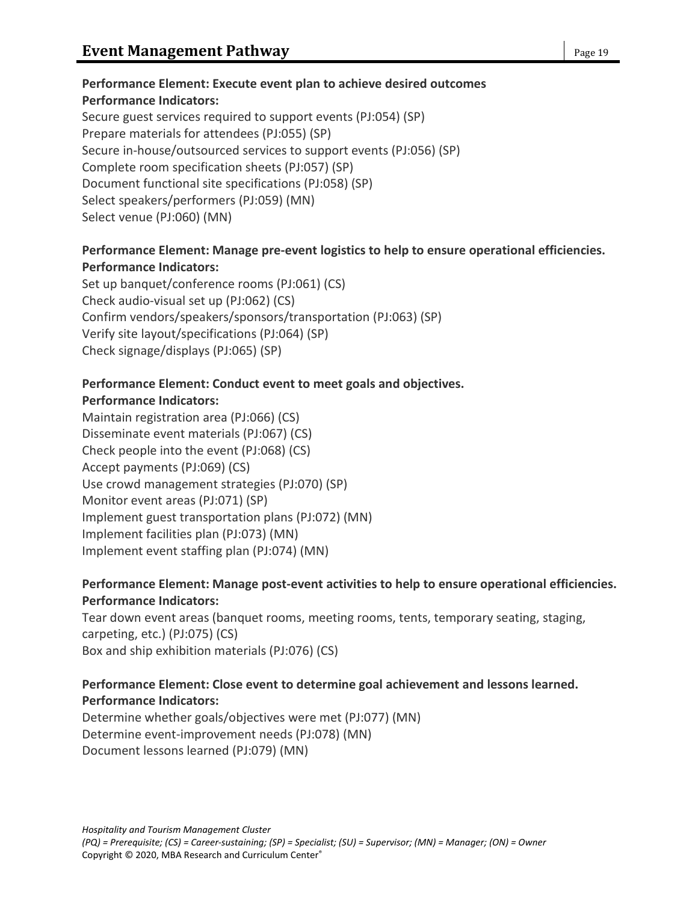### **Performance Element: Execute event plan to achieve desired outcomes Performance Indicators:** Secure guest services required to support events (PJ:054) (SP)

Prepare materials for attendees (PJ:055) (SP) Secure in-house/outsourced services to support events (PJ:056) (SP) Complete room specification sheets (PJ:057) (SP) Document functional site specifications (PJ:058) (SP) Select speakers/performers (PJ:059) (MN) Select venue (PJ:060) (MN)

## **Performance Element: Manage pre-event logistics to help to ensure operational efficiencies. Performance Indicators:**

Set up banquet/conference rooms (PJ:061) (CS) Check audio-visual set up (PJ:062) (CS) Confirm vendors/speakers/sponsors/transportation (PJ:063) (SP) Verify site layout/specifications (PJ:064) (SP) Check signage/displays (PJ:065) (SP)

### **Performance Element: Conduct event to meet goals and objectives. Performance Indicators:**

Maintain registration area (PJ:066) (CS) Disseminate event materials (PJ:067) (CS) Check people into the event (PJ:068) (CS) Accept payments (PJ:069) (CS) Use crowd management strategies (PJ:070) (SP) Monitor event areas (PJ:071) (SP) Implement guest transportation plans (PJ:072) (MN) Implement facilities plan (PJ:073) (MN) Implement event staffing plan (PJ:074) (MN)

## **Performance Element: Manage post-event activities to help to ensure operational efficiencies. Performance Indicators:**

Tear down event areas (banquet rooms, meeting rooms, tents, temporary seating, staging, carpeting, etc.) (PJ:075) (CS) Box and ship exhibition materials (PJ:076) (CS)

### **Performance Element: Close event to determine goal achievement and lessons learned. Performance Indicators:**

Determine whether goals/objectives were met (PJ:077) (MN) Determine event-improvement needs (PJ:078) (MN) Document lessons learned (PJ:079) (MN)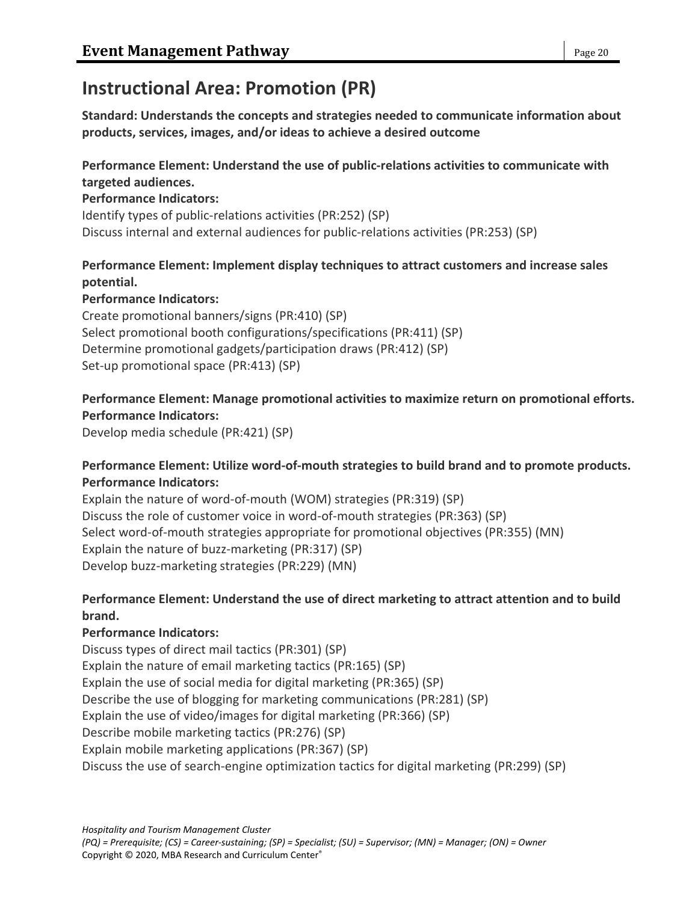# **Instructional Area: Promotion (PR)**

**Standard: Understands the concepts and strategies needed to communicate information about products, services, images, and/or ideas to achieve a desired outcome**

## **Performance Element: Understand the use of public-relations activities to communicate with targeted audiences.**

### **Performance Indicators:**

Identify types of public-relations activities (PR:252) (SP) Discuss internal and external audiences for public-relations activities (PR:253) (SP)

## **Performance Element: Implement display techniques to attract customers and increase sales potential.**

### **Performance Indicators:**

Create promotional banners/signs (PR:410) (SP) Select promotional booth configurations/specifications (PR:411) (SP) Determine promotional gadgets/participation draws (PR:412) (SP) Set-up promotional space (PR:413) (SP)

## **Performance Element: Manage promotional activities to maximize return on promotional efforts. Performance Indicators:**

Develop media schedule (PR:421) (SP)

## **Performance Element: Utilize word-of-mouth strategies to build brand and to promote products. Performance Indicators:**

Explain the nature of word-of-mouth (WOM) strategies (PR:319) (SP) Discuss the role of customer voice in word-of-mouth strategies (PR:363) (SP) Select word-of-mouth strategies appropriate for promotional objectives (PR:355) (MN) Explain the nature of buzz-marketing (PR:317) (SP) Develop buzz-marketing strategies (PR:229) (MN)

## **Performance Element: Understand the use of direct marketing to attract attention and to build brand.**

## **Performance Indicators:**

Discuss types of direct mail tactics (PR:301) (SP) Explain the nature of email marketing tactics (PR:165) (SP) Explain the use of social media for digital marketing (PR:365) (SP) Describe the use of blogging for marketing communications (PR:281) (SP) Explain the use of video/images for digital marketing (PR:366) (SP) Describe mobile marketing tactics (PR:276) (SP) Explain mobile marketing applications (PR:367) (SP) Discuss the use of search-engine optimization tactics for digital marketing (PR:299) (SP)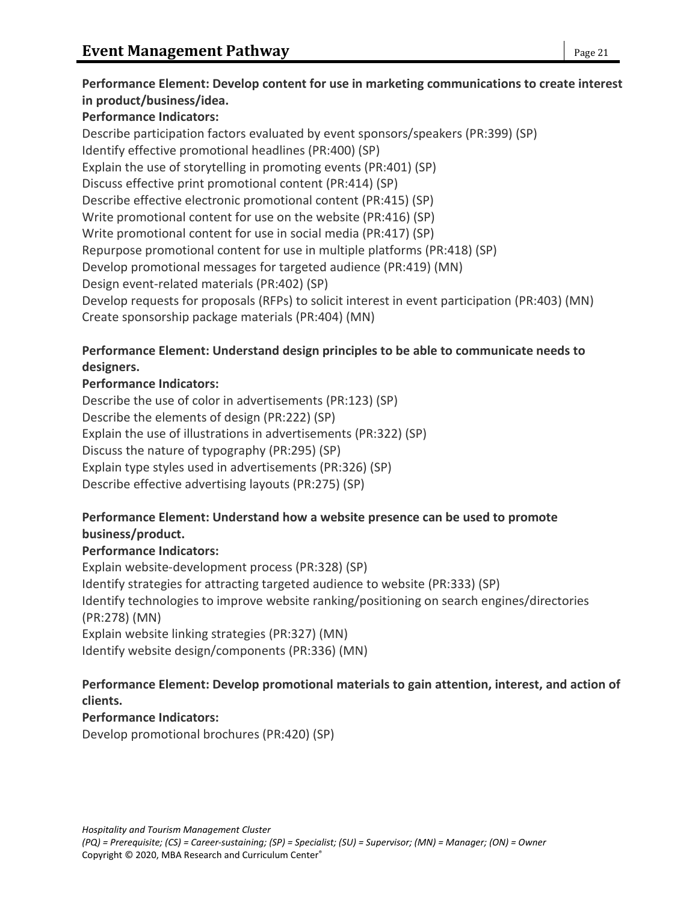## **Performance Element: Develop content for use in marketing communications to create interest in product/business/idea.**

## **Performance Indicators:**

Describe participation factors evaluated by event sponsors/speakers (PR:399) (SP) Identify effective promotional headlines (PR:400) (SP) Explain the use of storytelling in promoting events (PR:401) (SP) Discuss effective print promotional content (PR:414) (SP) Describe effective electronic promotional content (PR:415) (SP) Write promotional content for use on the website (PR:416) (SP) Write promotional content for use in social media (PR:417) (SP) Repurpose promotional content for use in multiple platforms (PR:418) (SP) Develop promotional messages for targeted audience (PR:419) (MN) Design event-related materials (PR:402) (SP) Develop requests for proposals (RFPs) to solicit interest in event participation (PR:403) (MN) Create sponsorship package materials (PR:404) (MN)

## **Performance Element: Understand design principles to be able to communicate needs to designers.**

## **Performance Indicators:**

Describe the use of color in advertisements (PR:123) (SP) Describe the elements of design (PR:222) (SP) Explain the use of illustrations in advertisements (PR:322) (SP) Discuss the nature of typography (PR:295) (SP) Explain type styles used in advertisements (PR:326) (SP) Describe effective advertising layouts (PR:275) (SP)

## **Performance Element: Understand how a website presence can be used to promote business/product.**

## **Performance Indicators:**

Explain website-development process (PR:328) (SP) Identify strategies for attracting targeted audience to website (PR:333) (SP) Identify technologies to improve website ranking/positioning on search engines/directories (PR:278) (MN) Explain website linking strategies (PR:327) (MN) Identify website design/components (PR:336) (MN)

## **Performance Element: Develop promotional materials to gain attention, interest, and action of clients.**

## **Performance Indicators:**

Develop promotional brochures (PR:420) (SP)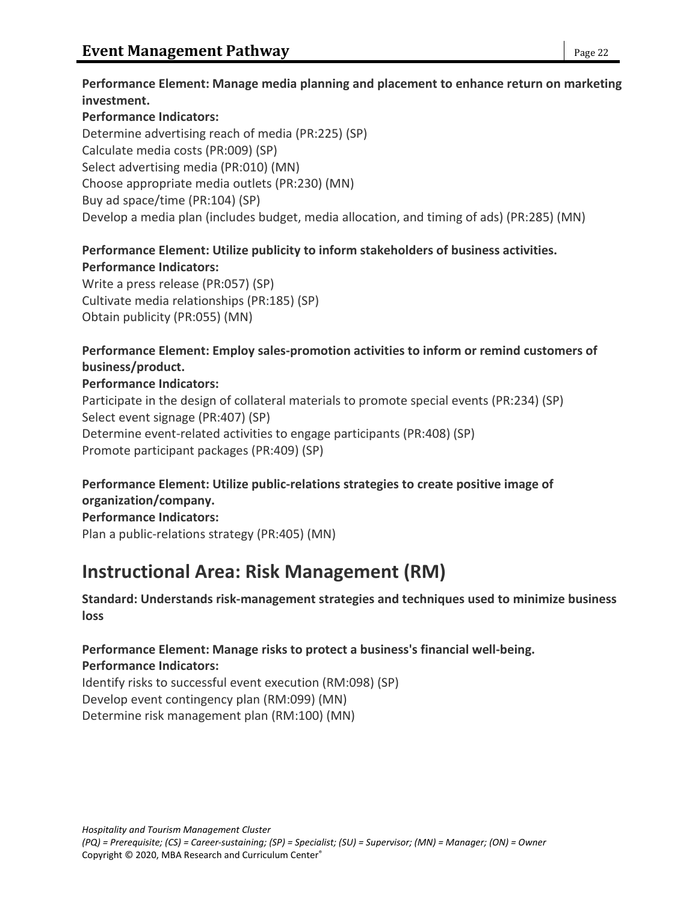### **Performance Indicators:**

Determine advertising reach of media (PR:225) (SP) Calculate media costs (PR:009) (SP) Select advertising media (PR:010) (MN) Choose appropriate media outlets (PR:230) (MN) Buy ad space/time (PR:104) (SP) Develop a media plan (includes budget, media allocation, and timing of ads) (PR:285) (MN)

## **Performance Element: Utilize publicity to inform stakeholders of business activities.**

**Performance Indicators:** Write a press release (PR:057) (SP) Cultivate media relationships (PR:185) (SP) Obtain publicity (PR:055) (MN)

## **Performance Element: Employ sales-promotion activities to inform or remind customers of business/product.**

### **Performance Indicators:**

Participate in the design of collateral materials to promote special events (PR:234) (SP) Select event signage (PR:407) (SP) Determine event-related activities to engage participants (PR:408) (SP) Promote participant packages (PR:409) (SP)

## **Performance Element: Utilize public-relations strategies to create positive image of organization/company.**

**Performance Indicators:** Plan a public-relations strategy (PR:405) (MN)

# **Instructional Area: Risk Management (RM)**

**Standard: Understands risk-management strategies and techniques used to minimize business loss**

## **Performance Element: Manage risks to protect a business's financial well-being.**

## **Performance Indicators:**

Identify risks to successful event execution (RM:098) (SP) Develop event contingency plan (RM:099) (MN) Determine risk management plan (RM:100) (MN)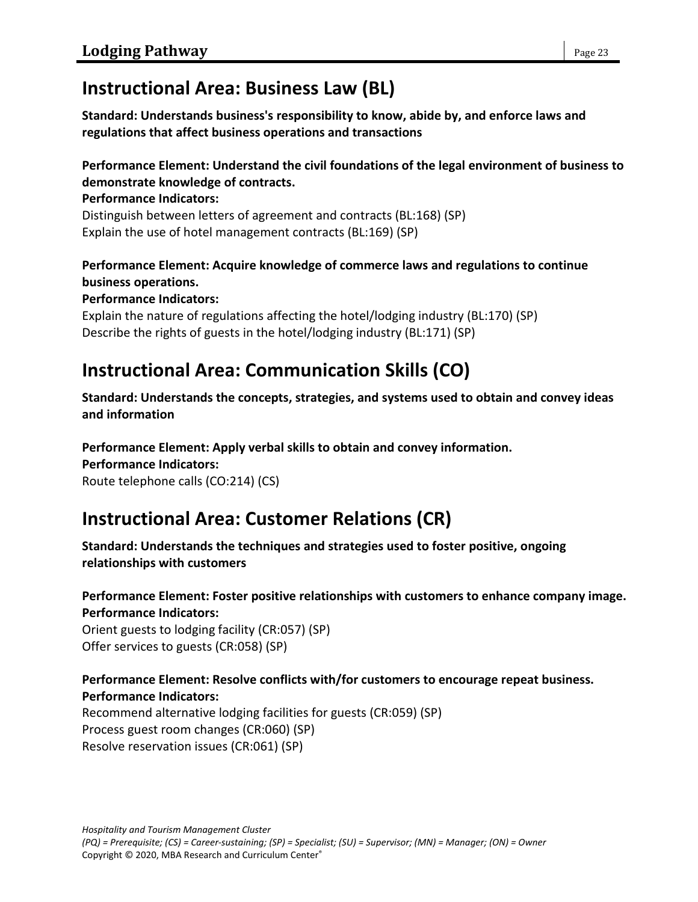## **Instructional Area: Business Law (BL)**

**Standard: Understands business's responsibility to know, abide by, and enforce laws and regulations that affect business operations and transactions**

## **Performance Element: Understand the civil foundations of the legal environment of business to demonstrate knowledge of contracts.**

**Performance Indicators:**

Distinguish between letters of agreement and contracts (BL:168) (SP) Explain the use of hotel management contracts (BL:169) (SP)

## **Performance Element: Acquire knowledge of commerce laws and regulations to continue business operations.**

**Performance Indicators:**

Explain the nature of regulations affecting the hotel/lodging industry (BL:170) (SP) Describe the rights of guests in the hotel/lodging industry (BL:171) (SP)

# **Instructional Area: Communication Skills (CO)**

**Standard: Understands the concepts, strategies, and systems used to obtain and convey ideas and information**

**Performance Element: Apply verbal skills to obtain and convey information.**

**Performance Indicators:**

Route telephone calls (CO:214) (CS)

# **Instructional Area: Customer Relations (CR)**

**Standard: Understands the techniques and strategies used to foster positive, ongoing relationships with customers**

## **Performance Element: Foster positive relationships with customers to enhance company image. Performance Indicators:**

Orient guests to lodging facility (CR:057) (SP) Offer services to guests (CR:058) (SP)

## **Performance Element: Resolve conflicts with/for customers to encourage repeat business. Performance Indicators:**

Recommend alternative lodging facilities for guests (CR:059) (SP) Process guest room changes (CR:060) (SP) Resolve reservation issues (CR:061) (SP)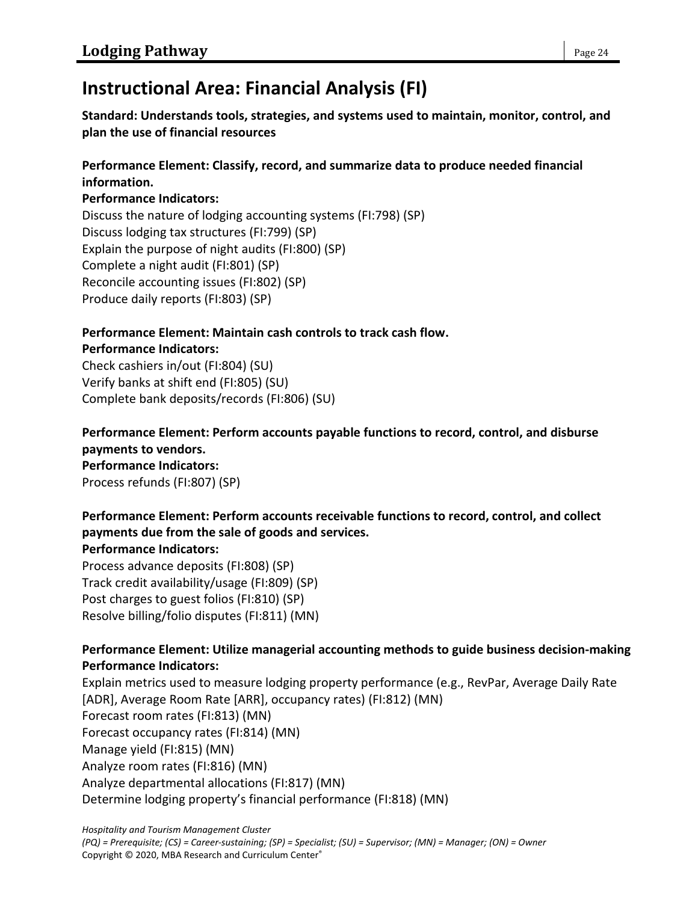# **Instructional Area: Financial Analysis (FI)**

**Standard: Understands tools, strategies, and systems used to maintain, monitor, control, and plan the use of financial resources**

## **Performance Element: Classify, record, and summarize data to produce needed financial information.**

### **Performance Indicators:**

Discuss the nature of lodging accounting systems (FI:798) (SP) Discuss lodging tax structures (FI:799) (SP) Explain the purpose of night audits (FI:800) (SP) Complete a night audit (FI:801) (SP) Reconcile accounting issues (FI:802) (SP) Produce daily reports (FI:803) (SP)

#### **Performance Element: Maintain cash controls to track cash flow. Performance Indicators:**

Check cashiers in/out (FI:804) (SU) Verify banks at shift end (FI:805) (SU) Complete bank deposits/records (FI:806) (SU)

**Performance Element: Perform accounts payable functions to record, control, and disburse payments to vendors. Performance Indicators:** Process refunds (FI:807) (SP)

## **Performance Element: Perform accounts receivable functions to record, control, and collect payments due from the sale of goods and services.**

### **Performance Indicators:**

Process advance deposits (FI:808) (SP) Track credit availability/usage (FI:809) (SP) Post charges to guest folios (FI:810) (SP) Resolve billing/folio disputes (FI:811) (MN)

## **Performance Element: Utilize managerial accounting methods to guide business decision-making Performance Indicators:**

Explain metrics used to measure lodging property performance (e.g., RevPar, Average Daily Rate [ADR], Average Room Rate [ARR], occupancy rates) (FI:812) (MN) Forecast room rates (FI:813) (MN) Forecast occupancy rates (FI:814) (MN) Manage yield (FI:815) (MN) Analyze room rates (FI:816) (MN) Analyze departmental allocations (FI:817) (MN) Determine lodging property's financial performance (FI:818) (MN)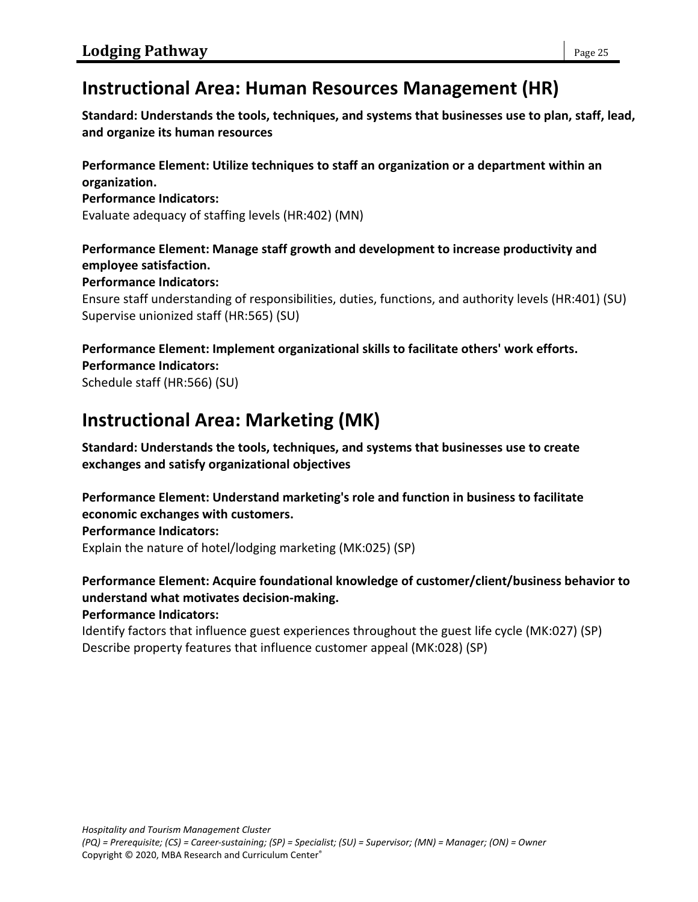## **Instructional Area: Human Resources Management (HR)**

**Standard: Understands the tools, techniques, and systems that businesses use to plan, staff, lead, and organize its human resources**

**Performance Element: Utilize techniques to staff an organization or a department within an organization.**

#### **Performance Indicators:**

Evaluate adequacy of staffing levels (HR:402) (MN)

**Performance Element: Manage staff growth and development to increase productivity and employee satisfaction.**

#### **Performance Indicators:**

Ensure staff understanding of responsibilities, duties, functions, and authority levels (HR:401) (SU) Supervise unionized staff (HR:565) (SU)

**Performance Element: Implement organizational skills to facilitate others' work efforts. Performance Indicators:**

Schedule staff (HR:566) (SU)

## **Instructional Area: Marketing (MK)**

**Standard: Understands the tools, techniques, and systems that businesses use to create exchanges and satisfy organizational objectives**

**Performance Element: Understand marketing's role and function in business to facilitate economic exchanges with customers. Performance Indicators:** Explain the nature of hotel/lodging marketing (MK:025) (SP)

#### **Performance Element: Acquire foundational knowledge of customer/client/business behavior to understand what motivates decision-making. Performance Indicators:**

Identify factors that influence guest experiences throughout the guest life cycle (MK:027) (SP) Describe property features that influence customer appeal (MK:028) (SP)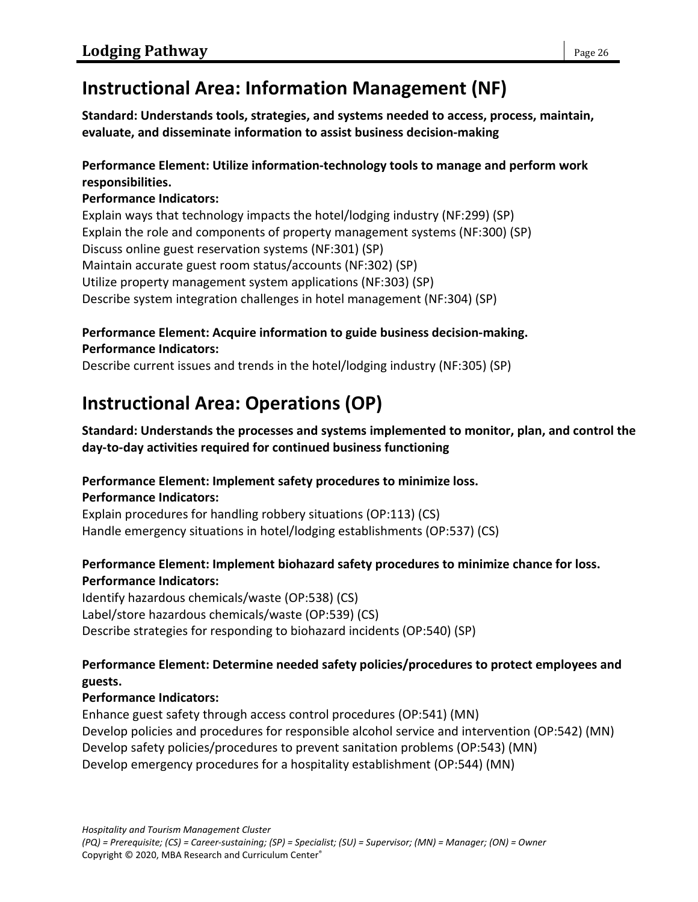# **Instructional Area: Information Management (NF)**

**Standard: Understands tools, strategies, and systems needed to access, process, maintain, evaluate, and disseminate information to assist business decision-making**

## **Performance Element: Utilize information-technology tools to manage and perform work responsibilities.**

## **Performance Indicators:**

Explain ways that technology impacts the hotel/lodging industry (NF:299) (SP) Explain the role and components of property management systems (NF:300) (SP) Discuss online guest reservation systems (NF:301) (SP) Maintain accurate guest room status/accounts (NF:302) (SP) Utilize property management system applications (NF:303) (SP) Describe system integration challenges in hotel management (NF:304) (SP)

## **Performance Element: Acquire information to guide business decision-making. Performance Indicators:**

Describe current issues and trends in the hotel/lodging industry (NF:305) (SP)

# **Instructional Area: Operations (OP)**

## **Standard: Understands the processes and systems implemented to monitor, plan, and control the day-to-day activities required for continued business functioning**

## **Performance Element: Implement safety procedures to minimize loss.**

## **Performance Indicators:**

Explain procedures for handling robbery situations (OP:113) (CS) Handle emergency situations in hotel/lodging establishments (OP:537) (CS)

## **Performance Element: Implement biohazard safety procedures to minimize chance for loss. Performance Indicators:**

Identify hazardous chemicals/waste (OP:538) (CS) Label/store hazardous chemicals/waste (OP:539) (CS) Describe strategies for responding to biohazard incidents (OP:540) (SP)

## **Performance Element: Determine needed safety policies/procedures to protect employees and guests.**

## **Performance Indicators:**

Enhance guest safety through access control procedures (OP:541) (MN) Develop policies and procedures for responsible alcohol service and intervention (OP:542) (MN) Develop safety policies/procedures to prevent sanitation problems (OP:543) (MN) Develop emergency procedures for a hospitality establishment (OP:544) (MN)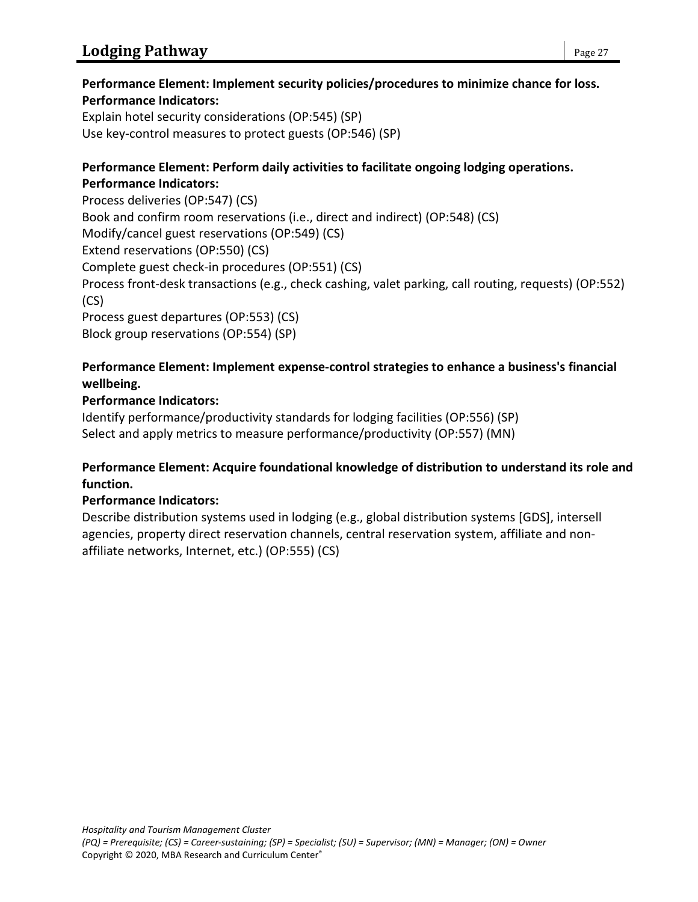### **Performance Element: Implement security policies/procedures to minimize chance for loss. Performance Indicators:**

Explain hotel security considerations (OP:545) (SP) Use key-control measures to protect guests (OP:546) (SP)

#### **Performance Element: Perform daily activities to facilitate ongoing lodging operations. Performance Indicators:**

Process deliveries (OP:547) (CS) Book and confirm room reservations (i.e., direct and indirect) (OP:548) (CS) Modify/cancel guest reservations (OP:549) (CS) Extend reservations (OP:550) (CS) Complete guest check-in procedures (OP:551) (CS) Process front-desk transactions (e.g., check cashing, valet parking, call routing, requests) (OP:552) (CS) Process guest departures (OP:553) (CS) Block group reservations (OP:554) (SP)

### **Performance Element: Implement expense-control strategies to enhance a business's financial wellbeing.**

## **Performance Indicators:**

Identify performance/productivity standards for lodging facilities (OP:556) (SP) Select and apply metrics to measure performance/productivity (OP:557) (MN)

### **Performance Element: Acquire foundational knowledge of distribution to understand its role and function.**

## **Performance Indicators:**

Describe distribution systems used in lodging (e.g., global distribution systems [GDS], intersell agencies, property direct reservation channels, central reservation system, affiliate and nonaffiliate networks, Internet, etc.) (OP:555) (CS)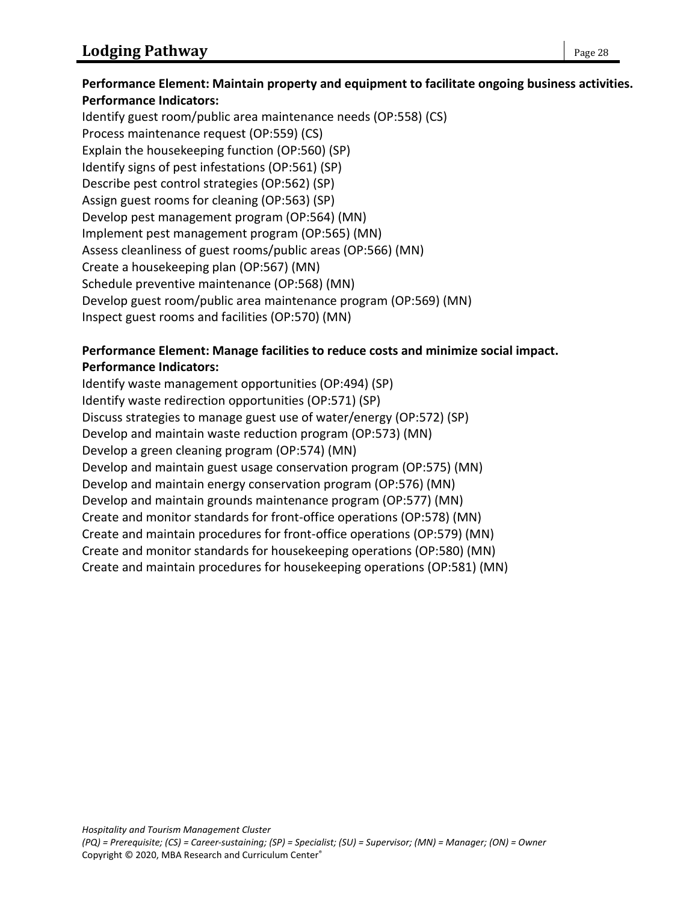### **Performance Element: Maintain property and equipment to facilitate ongoing business activities. Performance Indicators:**

Identify guest room/public area maintenance needs (OP:558) (CS) Process maintenance request (OP:559) (CS) Explain the housekeeping function (OP:560) (SP) Identify signs of pest infestations (OP:561) (SP) Describe pest control strategies (OP:562) (SP) Assign guest rooms for cleaning (OP:563) (SP) Develop pest management program (OP:564) (MN) Implement pest management program (OP:565) (MN) Assess cleanliness of guest rooms/public areas (OP:566) (MN) Create a housekeeping plan (OP:567) (MN) Schedule preventive maintenance (OP:568) (MN) Develop guest room/public area maintenance program (OP:569) (MN) Inspect guest rooms and facilities (OP:570) (MN)

### **Performance Element: Manage facilities to reduce costs and minimize social impact. Performance Indicators:**

Identify waste management opportunities (OP:494) (SP) Identify waste redirection opportunities (OP:571) (SP) Discuss strategies to manage guest use of water/energy (OP:572) (SP) Develop and maintain waste reduction program (OP:573) (MN) Develop a green cleaning program (OP:574) (MN) Develop and maintain guest usage conservation program (OP:575) (MN) Develop and maintain energy conservation program (OP:576) (MN) Develop and maintain grounds maintenance program (OP:577) (MN) Create and monitor standards for front-office operations (OP:578) (MN) Create and maintain procedures for front-office operations (OP:579) (MN) Create and monitor standards for housekeeping operations (OP:580) (MN) Create and maintain procedures for housekeeping operations (OP:581) (MN)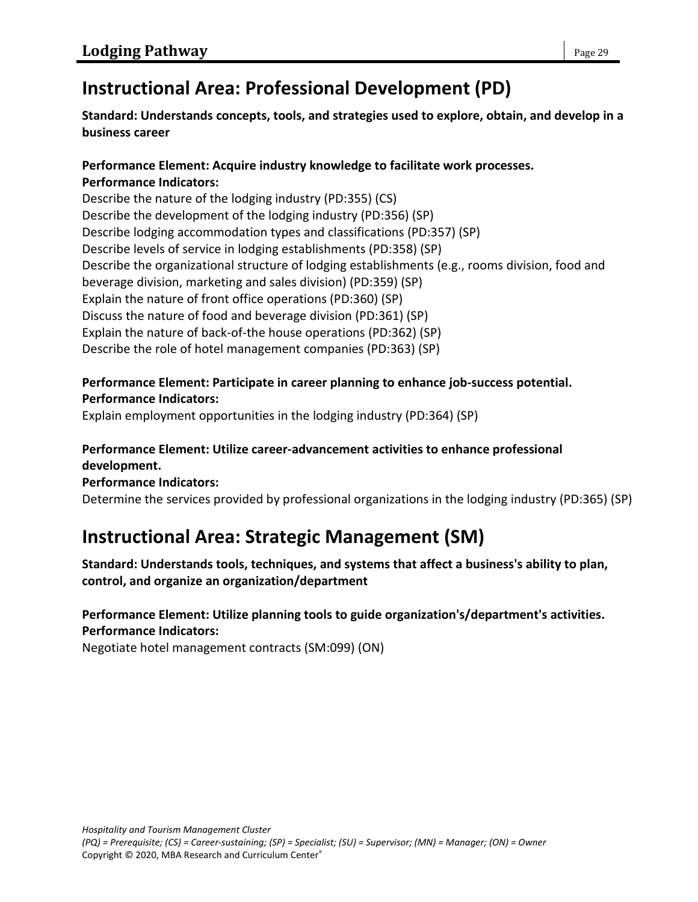# **Instructional Area: Professional Development (PD)**

## **Standard: Understands concepts, tools, and strategies used to explore, obtain, and develop in a business career**

### **Performance Element: Acquire industry knowledge to facilitate work processes. Performance Indicators:**

Describe the nature of the lodging industry (PD:355) (CS) Describe the development of the lodging industry (PD:356) (SP) Describe lodging accommodation types and classifications (PD:357) (SP) Describe levels of service in lodging establishments (PD:358) (SP) Describe the organizational structure of lodging establishments (e.g., rooms division, food and beverage division, marketing and sales division) (PD:359) (SP) Explain the nature of front office operations (PD:360) (SP) Discuss the nature of food and beverage division (PD:361) (SP) Explain the nature of back-of-the house operations (PD:362) (SP) Describe the role of hotel management companies (PD:363) (SP)

### **Performance Element: Participate in career planning to enhance job-success potential. Performance Indicators:**

Explain employment opportunities in the lodging industry (PD:364) (SP)

### **Performance Element: Utilize career-advancement activities to enhance professional development.**

### **Performance Indicators:**

Determine the services provided by professional organizations in the lodging industry (PD:365) (SP)

# **Instructional Area: Strategic Management (SM)**

**Standard: Understands tools, techniques, and systems that affect a business's ability to plan, control, and organize an organization/department**

## **Performance Element: Utilize planning tools to guide organization's/department's activities. Performance Indicators:**

Negotiate hotel management contracts (SM:099) (ON)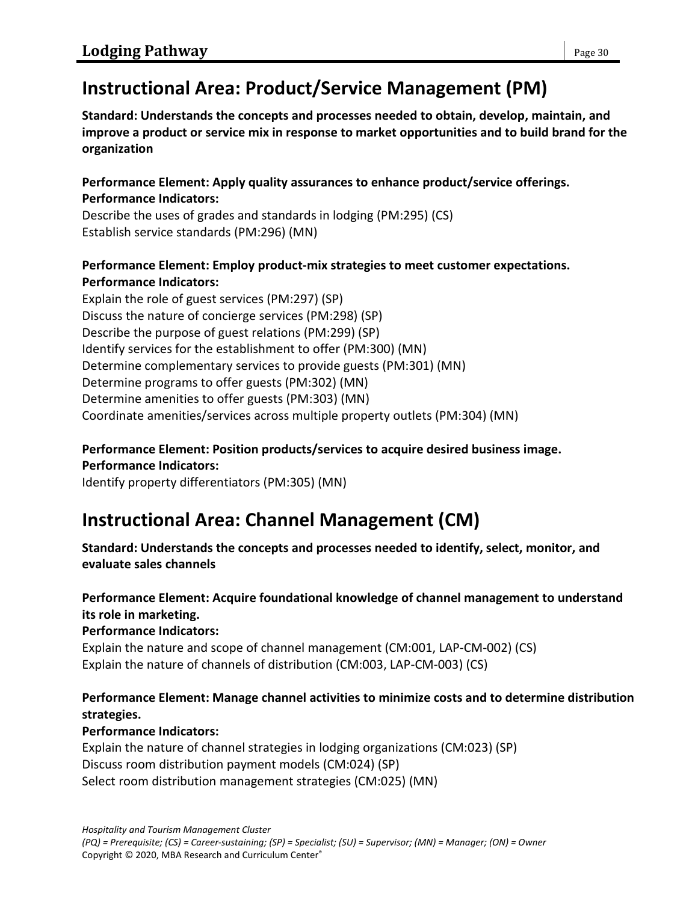# **Instructional Area: Product/Service Management (PM)**

**Standard: Understands the concepts and processes needed to obtain, develop, maintain, and improve a product or service mix in response to market opportunities and to build brand for the organization**

**Performance Element: Apply quality assurances to enhance product/service offerings. Performance Indicators:**

Describe the uses of grades and standards in lodging (PM:295) (CS) Establish service standards (PM:296) (MN)

## **Performance Element: Employ product-mix strategies to meet customer expectations. Performance Indicators:**

Explain the role of guest services (PM:297) (SP) Discuss the nature of concierge services (PM:298) (SP) Describe the purpose of guest relations (PM:299) (SP) Identify services for the establishment to offer (PM:300) (MN) Determine complementary services to provide guests (PM:301) (MN) Determine programs to offer guests (PM:302) (MN) Determine amenities to offer guests (PM:303) (MN) Coordinate amenities/services across multiple property outlets (PM:304) (MN)

## **Performance Element: Position products/services to acquire desired business image.**

**Performance Indicators:**

Identify property differentiators (PM:305) (MN)

# **Instructional Area: Channel Management (CM)**

**Standard: Understands the concepts and processes needed to identify, select, monitor, and evaluate sales channels**

## **Performance Element: Acquire foundational knowledge of channel management to understand its role in marketing.**

**Performance Indicators:**

Explain the nature and scope of channel management (CM:001, LAP-CM-002) (CS) Explain the nature of channels of distribution (CM:003, LAP-CM-003) (CS)

## **Performance Element: Manage channel activities to minimize costs and to determine distribution strategies.**

## **Performance Indicators:**

Explain the nature of channel strategies in lodging organizations (CM:023) (SP) Discuss room distribution payment models (CM:024) (SP) Select room distribution management strategies (CM:025) (MN)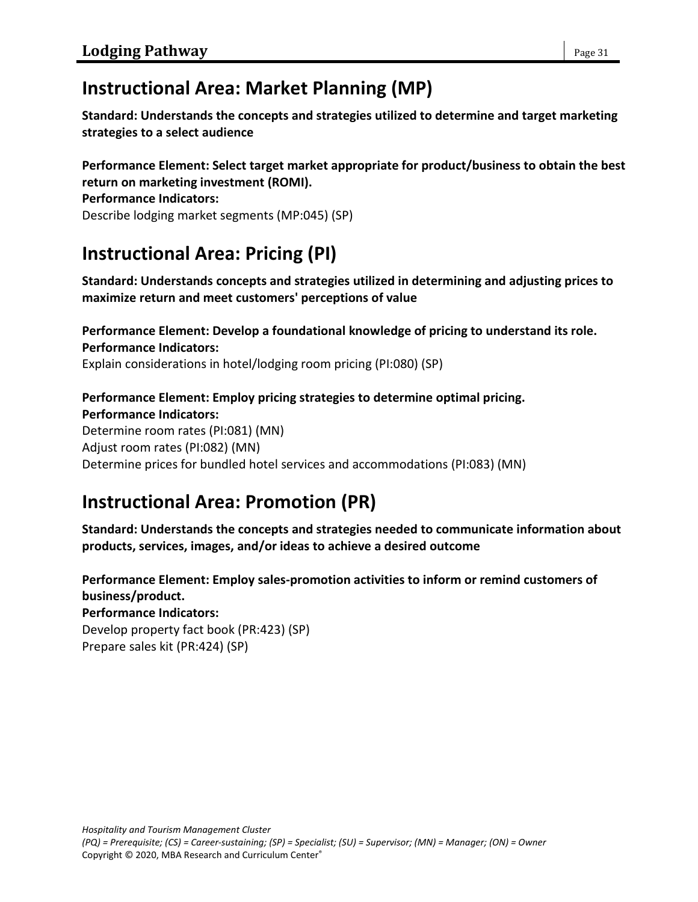# **Instructional Area: Market Planning (MP)**

**Standard: Understands the concepts and strategies utilized to determine and target marketing strategies to a select audience**

**Performance Element: Select target market appropriate for product/business to obtain the best return on marketing investment (ROMI).**

### **Performance Indicators:**

Describe lodging market segments (MP:045) (SP)

# **Instructional Area: Pricing (PI)**

**Standard: Understands concepts and strategies utilized in determining and adjusting prices to maximize return and meet customers' perceptions of value**

#### **Performance Element: Develop a foundational knowledge of pricing to understand its role. Performance Indicators:**

Explain considerations in hotel/lodging room pricing (PI:080) (SP)

## **Performance Element: Employ pricing strategies to determine optimal pricing. Performance Indicators:**

Determine room rates (PI:081) (MN) Adjust room rates (PI:082) (MN) Determine prices for bundled hotel services and accommodations (PI:083) (MN)

# **Instructional Area: Promotion (PR)**

**Standard: Understands the concepts and strategies needed to communicate information about products, services, images, and/or ideas to achieve a desired outcome**

**Performance Element: Employ sales-promotion activities to inform or remind customers of business/product. Performance Indicators:** Develop property fact book (PR:423) (SP) Prepare sales kit (PR:424) (SP)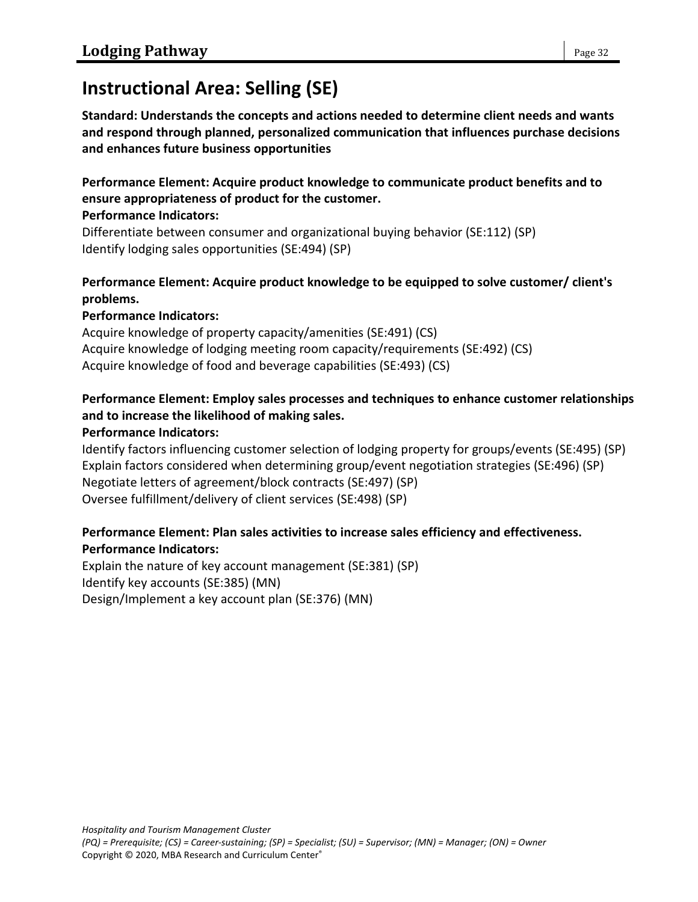# **Instructional Area: Selling (SE)**

**Standard: Understands the concepts and actions needed to determine client needs and wants and respond through planned, personalized communication that influences purchase decisions and enhances future business opportunities**

**Performance Element: Acquire product knowledge to communicate product benefits and to ensure appropriateness of product for the customer. Performance Indicators:**

Differentiate between consumer and organizational buying behavior (SE:112) (SP) Identify lodging sales opportunities (SE:494) (SP)

### **Performance Element: Acquire product knowledge to be equipped to solve customer/ client's problems.**

### **Performance Indicators:**

Acquire knowledge of property capacity/amenities (SE:491) (CS) Acquire knowledge of lodging meeting room capacity/requirements (SE:492) (CS) Acquire knowledge of food and beverage capabilities (SE:493) (CS)

## **Performance Element: Employ sales processes and techniques to enhance customer relationships and to increase the likelihood of making sales.**

### **Performance Indicators:**

Identify factors influencing customer selection of lodging property for groups/events (SE:495) (SP) Explain factors considered when determining group/event negotiation strategies (SE:496) (SP) Negotiate letters of agreement/block contracts (SE:497) (SP) Oversee fulfillment/delivery of client services (SE:498) (SP)

### **Performance Element: Plan sales activities to increase sales efficiency and effectiveness. Performance Indicators:**

Explain the nature of key account management (SE:381) (SP) Identify key accounts (SE:385) (MN) Design/Implement a key account plan (SE:376) (MN)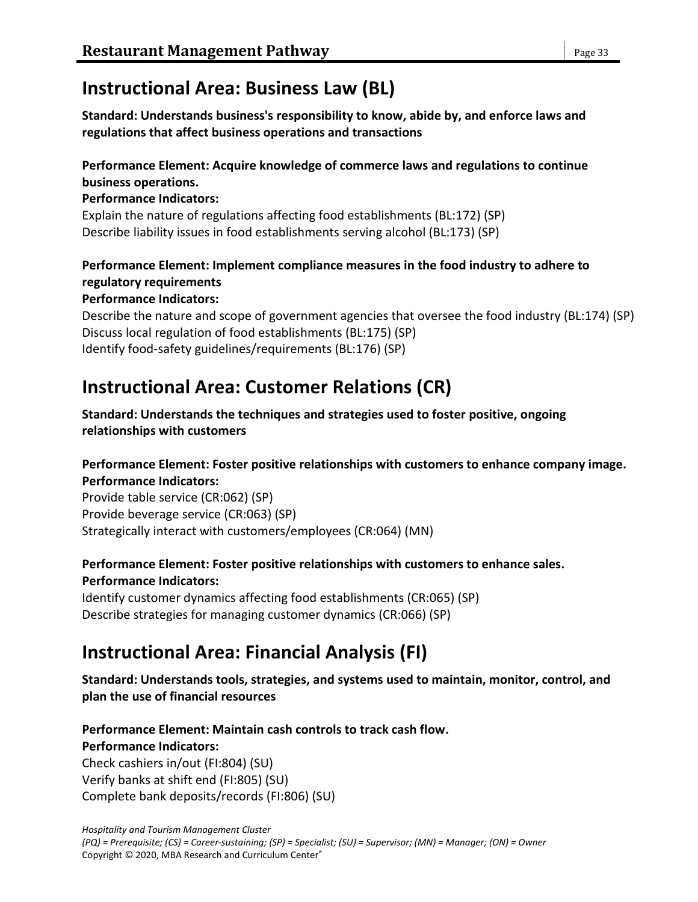# **Instructional Area: Business Law (BL)**

**Standard: Understands business's responsibility to know, abide by, and enforce laws and regulations that affect business operations and transactions**

## **Performance Element: Acquire knowledge of commerce laws and regulations to continue business operations.**

### **Performance Indicators:**

Explain the nature of regulations affecting food establishments (BL:172) (SP) Describe liability issues in food establishments serving alcohol (BL:173) (SP)

## **Performance Element: Implement compliance measures in the food industry to adhere to regulatory requirements**

### **Performance Indicators:**

Describe the nature and scope of government agencies that oversee the food industry (BL:174) (SP) Discuss local regulation of food establishments (BL:175) (SP) Identify food-safety guidelines/requirements (BL:176) (SP)

# **Instructional Area: Customer Relations (CR)**

**Standard: Understands the techniques and strategies used to foster positive, ongoing relationships with customers**

### **Performance Element: Foster positive relationships with customers to enhance company image. Performance Indicators:**

Provide table service (CR:062) (SP) Provide beverage service (CR:063) (SP) Strategically interact with customers/employees (CR:064) (MN)

## **Performance Element: Foster positive relationships with customers to enhance sales. Performance Indicators:**

Identify customer dynamics affecting food establishments (CR:065) (SP) Describe strategies for managing customer dynamics (CR:066) (SP)

# **Instructional Area: Financial Analysis (FI)**

**Standard: Understands tools, strategies, and systems used to maintain, monitor, control, and plan the use of financial resources**

## **Performance Element: Maintain cash controls to track cash flow. Performance Indicators:**

Check cashiers in/out (FI:804) (SU) Verify banks at shift end (FI:805) (SU) Complete bank deposits/records (FI:806) (SU)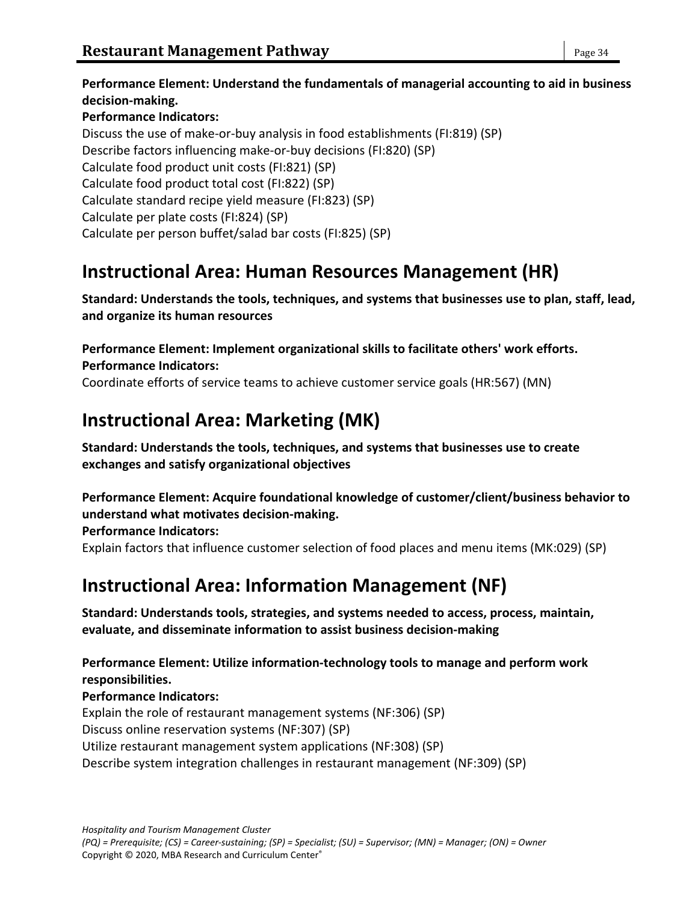**Performance Element: Understand the fundamentals of managerial accounting to aid in business decision-making. Performance Indicators:** Discuss the use of make-or-buy analysis in food establishments (FI:819) (SP) Describe factors influencing make-or-buy decisions (FI:820) (SP) Calculate food product unit costs (FI:821) (SP) Calculate food product total cost (FI:822) (SP) Calculate standard recipe yield measure (FI:823) (SP) Calculate per plate costs (FI:824) (SP) Calculate per person buffet/salad bar costs (FI:825) (SP)

## **Instructional Area: Human Resources Management (HR)**

**Standard: Understands the tools, techniques, and systems that businesses use to plan, staff, lead, and organize its human resources**

**Performance Element: Implement organizational skills to facilitate others' work efforts. Performance Indicators:**

Coordinate efforts of service teams to achieve customer service goals (HR:567) (MN)

# **Instructional Area: Marketing (MK)**

**Standard: Understands the tools, techniques, and systems that businesses use to create exchanges and satisfy organizational objectives**

**Performance Element: Acquire foundational knowledge of customer/client/business behavior to understand what motivates decision-making.**

**Performance Indicators:** Explain factors that influence customer selection of food places and menu items (MK:029) (SP)

# **Instructional Area: Information Management (NF)**

**Standard: Understands tools, strategies, and systems needed to access, process, maintain, evaluate, and disseminate information to assist business decision-making**

**Performance Element: Utilize information-technology tools to manage and perform work responsibilities.**

**Performance Indicators:** Explain the role of restaurant management systems (NF:306) (SP) Discuss online reservation systems (NF:307) (SP) Utilize restaurant management system applications (NF:308) (SP) Describe system integration challenges in restaurant management (NF:309) (SP)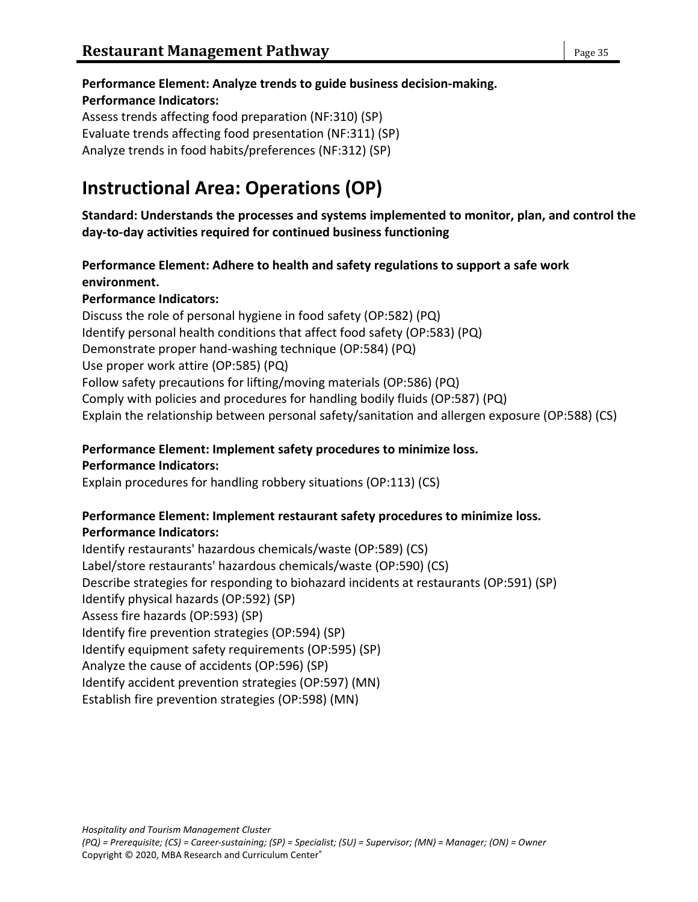### **Performance Element: Analyze trends to guide business decision-making.**

#### **Performance Indicators:**

Assess trends affecting food preparation (NF:310) (SP) Evaluate trends affecting food presentation (NF:311) (SP) Analyze trends in food habits/preferences (NF:312) (SP)

# **Instructional Area: Operations (OP)**

**Standard: Understands the processes and systems implemented to monitor, plan, and control the day-to-day activities required for continued business functioning**

## **Performance Element: Adhere to health and safety regulations to support a safe work environment.**

### **Performance Indicators:**

Discuss the role of personal hygiene in food safety (OP:582) (PQ) Identify personal health conditions that affect food safety (OP:583) (PQ) Demonstrate proper hand-washing technique (OP:584) (PQ) Use proper work attire (OP:585) (PQ) Follow safety precautions for lifting/moving materials (OP:586) (PQ) Comply with policies and procedures for handling bodily fluids (OP:587) (PQ) Explain the relationship between personal safety/sanitation and allergen exposure (OP:588) (CS)

#### **Performance Element: Implement safety procedures to minimize loss. Performance Indicators:**

Explain procedures for handling robbery situations (OP:113) (CS)

## **Performance Element: Implement restaurant safety procedures to minimize loss. Performance Indicators:**

Identify restaurants' hazardous chemicals/waste (OP:589) (CS) Label/store restaurants' hazardous chemicals/waste (OP:590) (CS) Describe strategies for responding to biohazard incidents at restaurants (OP:591) (SP) Identify physical hazards (OP:592) (SP) Assess fire hazards (OP:593) (SP) Identify fire prevention strategies (OP:594) (SP) Identify equipment safety requirements (OP:595) (SP) Analyze the cause of accidents (OP:596) (SP) Identify accident prevention strategies (OP:597) (MN) Establish fire prevention strategies (OP:598) (MN)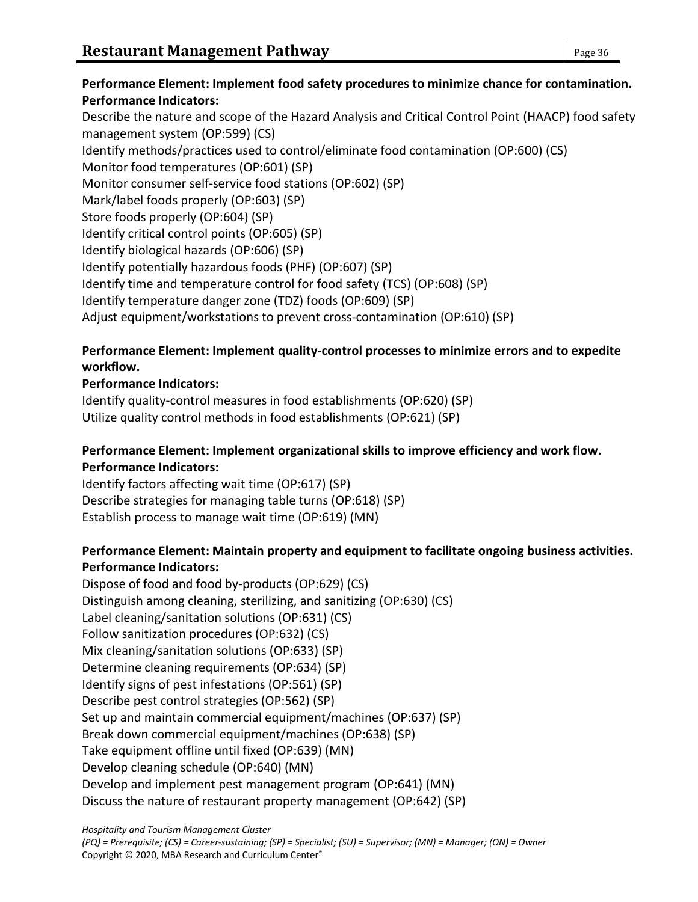**Performance Element: Implement food safety procedures to minimize chance for contamination. Performance Indicators:** Describe the nature and scope of the Hazard Analysis and Critical Control Point (HAACP) food safety management system (OP:599) (CS) Identify methods/practices used to control/eliminate food contamination (OP:600) (CS) Monitor food temperatures (OP:601) (SP) Monitor consumer self-service food stations (OP:602) (SP) Mark/label foods properly (OP:603) (SP) Store foods properly (OP:604) (SP) Identify critical control points (OP:605) (SP) Identify biological hazards (OP:606) (SP) Identify potentially hazardous foods (PHF) (OP:607) (SP) Identify time and temperature control for food safety (TCS) (OP:608) (SP) Identify temperature danger zone (TDZ) foods (OP:609) (SP) Adjust equipment/workstations to prevent cross-contamination (OP:610) (SP)

## **Performance Element: Implement quality-control processes to minimize errors and to expedite workflow.**

## **Performance Indicators:**

Identify quality-control measures in food establishments (OP:620) (SP) Utilize quality control methods in food establishments (OP:621) (SP)

### **Performance Element: Implement organizational skills to improve efficiency and work flow. Performance Indicators:**

Identify factors affecting wait time (OP:617) (SP) Describe strategies for managing table turns (OP:618) (SP) Establish process to manage wait time (OP:619) (MN)

### **Performance Element: Maintain property and equipment to facilitate ongoing business activities. Performance Indicators:**

Dispose of food and food by-products (OP:629) (CS) Distinguish among cleaning, sterilizing, and sanitizing (OP:630) (CS) Label cleaning/sanitation solutions (OP:631) (CS) Follow sanitization procedures (OP:632) (CS) Mix cleaning/sanitation solutions (OP:633) (SP) Determine cleaning requirements (OP:634) (SP) Identify signs of pest infestations (OP:561) (SP) Describe pest control strategies (OP:562) (SP) Set up and maintain commercial equipment/machines (OP:637) (SP) Break down commercial equipment/machines (OP:638) (SP) Take equipment offline until fixed (OP:639) (MN) Develop cleaning schedule (OP:640) (MN) Develop and implement pest management program (OP:641) (MN) Discuss the nature of restaurant property management (OP:642) (SP)

*Hospitality and Tourism Management Cluster*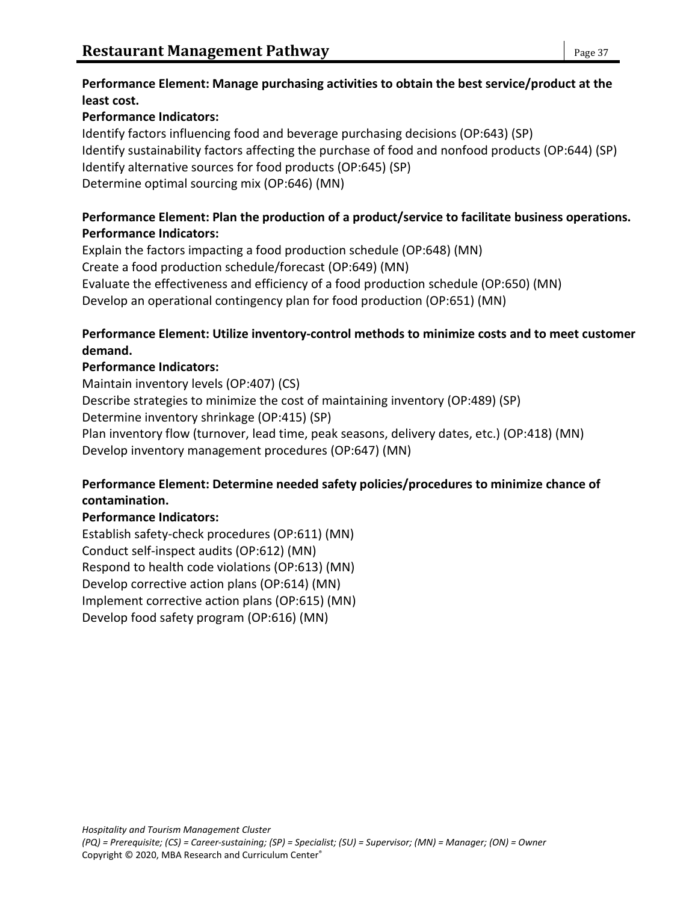### **Performance Element: Manage purchasing activities to obtain the best service/product at the least cost.**

## **Performance Indicators:**

Identify factors influencing food and beverage purchasing decisions (OP:643) (SP) Identify sustainability factors affecting the purchase of food and nonfood products (OP:644) (SP) Identify alternative sources for food products (OP:645) (SP) Determine optimal sourcing mix (OP:646) (MN)

## **Performance Element: Plan the production of a product/service to facilitate business operations. Performance Indicators:**

Explain the factors impacting a food production schedule (OP:648) (MN) Create a food production schedule/forecast (OP:649) (MN) Evaluate the effectiveness and efficiency of a food production schedule (OP:650) (MN) Develop an operational contingency plan for food production (OP:651) (MN)

## **Performance Element: Utilize inventory-control methods to minimize costs and to meet customer demand.**

## **Performance Indicators:**

Maintain inventory levels (OP:407) (CS) Describe strategies to minimize the cost of maintaining inventory (OP:489) (SP) Determine inventory shrinkage (OP:415) (SP) Plan inventory flow (turnover, lead time, peak seasons, delivery dates, etc.) (OP:418) (MN) Develop inventory management procedures (OP:647) (MN)

## **Performance Element: Determine needed safety policies/procedures to minimize chance of contamination.**

## **Performance Indicators:**

Establish safety-check procedures (OP:611) (MN) Conduct self-inspect audits (OP:612) (MN) Respond to health code violations (OP:613) (MN) Develop corrective action plans (OP:614) (MN) Implement corrective action plans (OP:615) (MN) Develop food safety program (OP:616) (MN)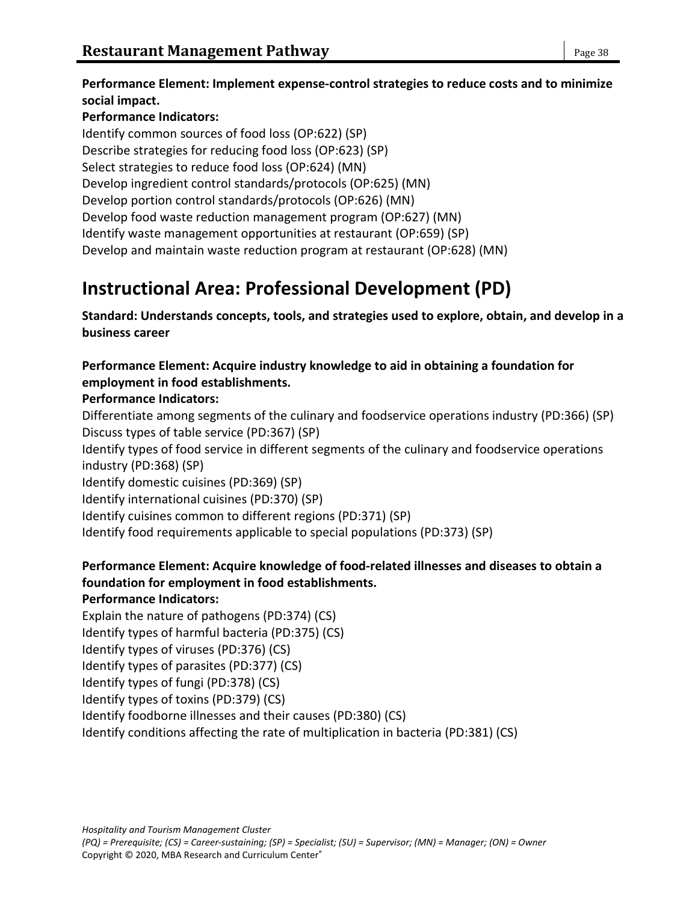**Performance Element: Implement expense-control strategies to reduce costs and to minimize social impact.**

## **Performance Indicators:**

Identify common sources of food loss (OP:622) (SP) Describe strategies for reducing food loss (OP:623) (SP) Select strategies to reduce food loss (OP:624) (MN) Develop ingredient control standards/protocols (OP:625) (MN) Develop portion control standards/protocols (OP:626) (MN) Develop food waste reduction management program (OP:627) (MN) Identify waste management opportunities at restaurant (OP:659) (SP) Develop and maintain waste reduction program at restaurant (OP:628) (MN)

# **Instructional Area: Professional Development (PD)**

**Standard: Understands concepts, tools, and strategies used to explore, obtain, and develop in a business career**

**Performance Element: Acquire industry knowledge to aid in obtaining a foundation for employment in food establishments.**

## **Performance Indicators:**

Differentiate among segments of the culinary and foodservice operations industry (PD:366) (SP) Discuss types of table service (PD:367) (SP)

Identify types of food service in different segments of the culinary and foodservice operations industry (PD:368) (SP)

Identify domestic cuisines (PD:369) (SP)

Identify international cuisines (PD:370) (SP)

Identify cuisines common to different regions (PD:371) (SP)

Identify food requirements applicable to special populations (PD:373) (SP)

## **Performance Element: Acquire knowledge of food-related illnesses and diseases to obtain a foundation for employment in food establishments.**

## **Performance Indicators:**

Explain the nature of pathogens (PD:374) (CS)

Identify types of harmful bacteria (PD:375) (CS)

Identify types of viruses (PD:376) (CS)

Identify types of parasites (PD:377) (CS)

Identify types of fungi (PD:378) (CS)

Identify types of toxins (PD:379) (CS)

Identify foodborne illnesses and their causes (PD:380) (CS)

Identify conditions affecting the rate of multiplication in bacteria (PD:381) (CS)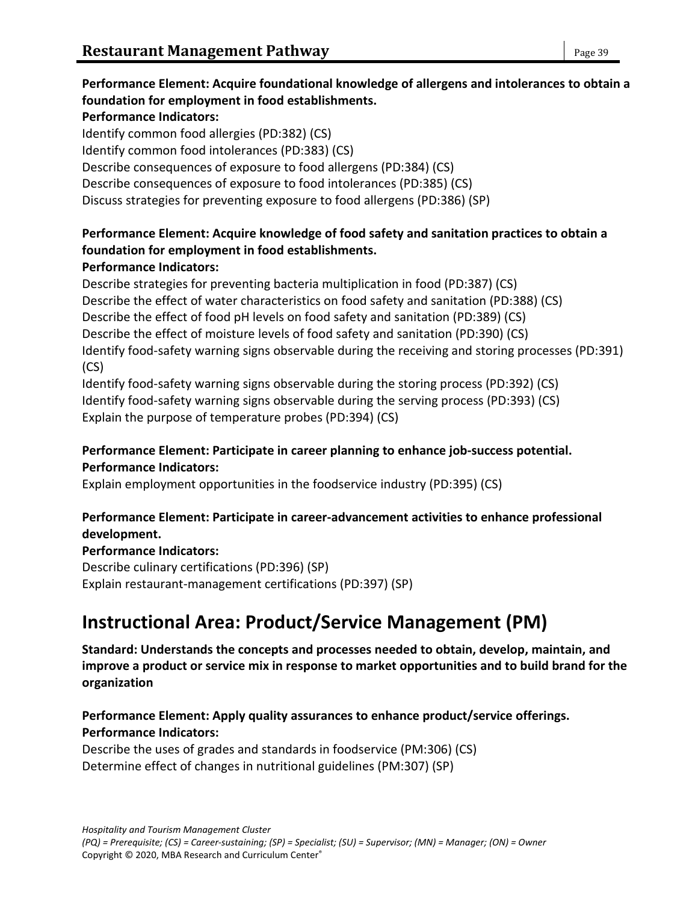## **Performance Element: Acquire foundational knowledge of allergens and intolerances to obtain a foundation for employment in food establishments.**

#### **Performance Indicators:**

Identify common food allergies (PD:382) (CS) Identify common food intolerances (PD:383) (CS) Describe consequences of exposure to food allergens (PD:384) (CS) Describe consequences of exposure to food intolerances (PD:385) (CS) Discuss strategies for preventing exposure to food allergens (PD:386) (SP)

## **Performance Element: Acquire knowledge of food safety and sanitation practices to obtain a foundation for employment in food establishments.**

### **Performance Indicators:**

Describe strategies for preventing bacteria multiplication in food (PD:387) (CS) Describe the effect of water characteristics on food safety and sanitation (PD:388) (CS) Describe the effect of food pH levels on food safety and sanitation (PD:389) (CS) Describe the effect of moisture levels of food safety and sanitation (PD:390) (CS) Identify food-safety warning signs observable during the receiving and storing processes (PD:391) (CS)

Identify food-safety warning signs observable during the storing process (PD:392) (CS) Identify food-safety warning signs observable during the serving process (PD:393) (CS) Explain the purpose of temperature probes (PD:394) (CS)

### **Performance Element: Participate in career planning to enhance job-success potential. Performance Indicators:**

Explain employment opportunities in the foodservice industry (PD:395) (CS)

### **Performance Element: Participate in career-advancement activities to enhance professional development.**

### **Performance Indicators:**

Describe culinary certifications (PD:396) (SP) Explain restaurant-management certifications (PD:397) (SP)

## **Instructional Area: Product/Service Management (PM)**

**Standard: Understands the concepts and processes needed to obtain, develop, maintain, and improve a product or service mix in response to market opportunities and to build brand for the organization**

### **Performance Element: Apply quality assurances to enhance product/service offerings. Performance Indicators:**

Describe the uses of grades and standards in foodservice (PM:306) (CS) Determine effect of changes in nutritional guidelines (PM:307) (SP)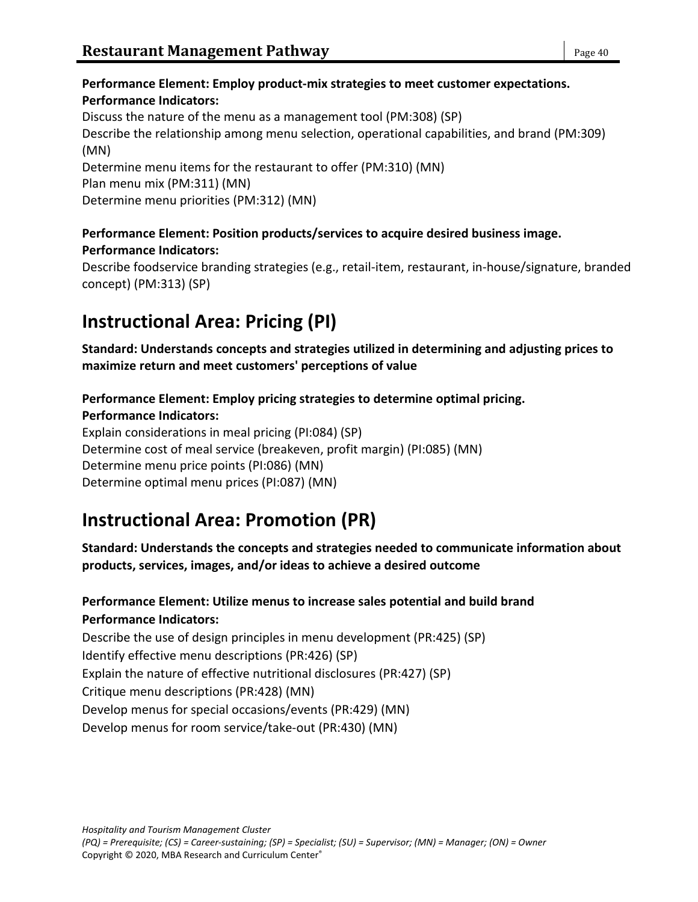## **Performance Element: Employ product-mix strategies to meet customer expectations. Performance Indicators:**

Discuss the nature of the menu as a management tool (PM:308) (SP) Describe the relationship among menu selection, operational capabilities, and brand (PM:309) (MN) Determine menu items for the restaurant to offer (PM:310) (MN) Plan menu mix (PM:311) (MN) Determine menu priorities (PM:312) (MN)

## **Performance Element: Position products/services to acquire desired business image. Performance Indicators:**

Describe foodservice branding strategies (e.g., retail-item, restaurant, in-house/signature, branded concept) (PM:313) (SP)

# **Instructional Area: Pricing (PI)**

**Standard: Understands concepts and strategies utilized in determining and adjusting prices to maximize return and meet customers' perceptions of value**

**Performance Element: Employ pricing strategies to determine optimal pricing.**

## **Performance Indicators:**

Explain considerations in meal pricing (PI:084) (SP) Determine cost of meal service (breakeven, profit margin) (PI:085) (MN) Determine menu price points (PI:086) (MN) Determine optimal menu prices (PI:087) (MN)

# **Instructional Area: Promotion (PR)**

**Standard: Understands the concepts and strategies needed to communicate information about products, services, images, and/or ideas to achieve a desired outcome**

## **Performance Element: Utilize menus to increase sales potential and build brand Performance Indicators:**

Describe the use of design principles in menu development (PR:425) (SP) Identify effective menu descriptions (PR:426) (SP) Explain the nature of effective nutritional disclosures (PR:427) (SP) Critique menu descriptions (PR:428) (MN) Develop menus for special occasions/events (PR:429) (MN) Develop menus for room service/take-out (PR:430) (MN)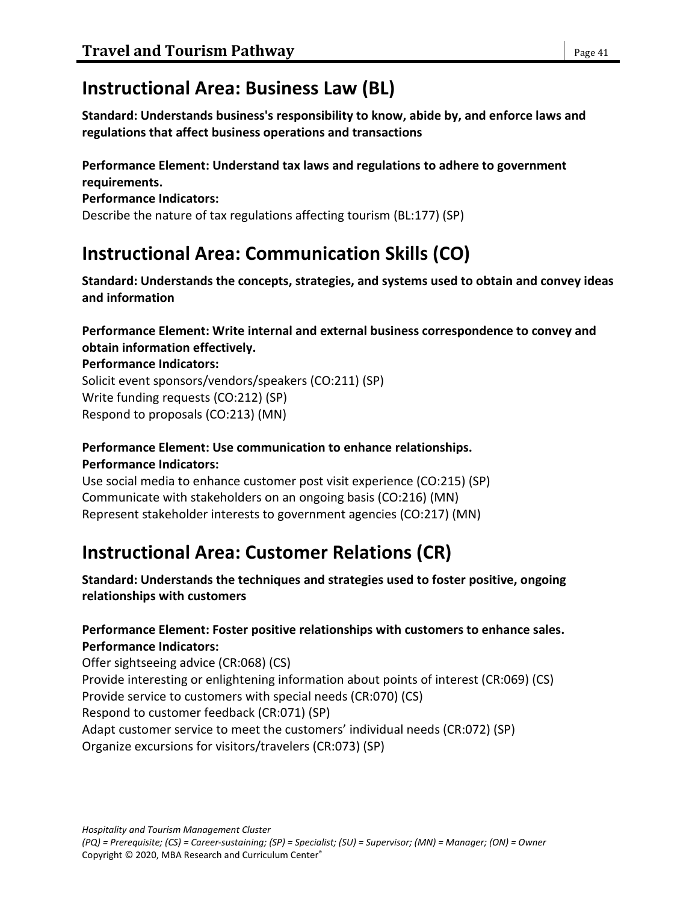# **Instructional Area: Business Law (BL)**

**Standard: Understands business's responsibility to know, abide by, and enforce laws and regulations that affect business operations and transactions**

## **Performance Element: Understand tax laws and regulations to adhere to government requirements.**

#### **Performance Indicators:**

Describe the nature of tax regulations affecting tourism (BL:177) (SP)

# **Instructional Area: Communication Skills (CO)**

**Standard: Understands the concepts, strategies, and systems used to obtain and convey ideas and information**

### **Performance Element: Write internal and external business correspondence to convey and obtain information effectively.**

### **Performance Indicators:**

Solicit event sponsors/vendors/speakers (CO:211) (SP) Write funding requests (CO:212) (SP) Respond to proposals (CO:213) (MN)

# **Performance Element: Use communication to enhance relationships.**

### **Performance Indicators:**

Use social media to enhance customer post visit experience (CO:215) (SP) Communicate with stakeholders on an ongoing basis (CO:216) (MN) Represent stakeholder interests to government agencies (CO:217) (MN)

# **Instructional Area: Customer Relations (CR)**

**Standard: Understands the techniques and strategies used to foster positive, ongoing relationships with customers**

## **Performance Element: Foster positive relationships with customers to enhance sales. Performance Indicators:**

Offer sightseeing advice (CR:068) (CS) Provide interesting or enlightening information about points of interest (CR:069) (CS) Provide service to customers with special needs (CR:070) (CS) Respond to customer feedback (CR:071) (SP) Adapt customer service to meet the customers' individual needs (CR:072) (SP) Organize excursions for visitors/travelers (CR:073) (SP)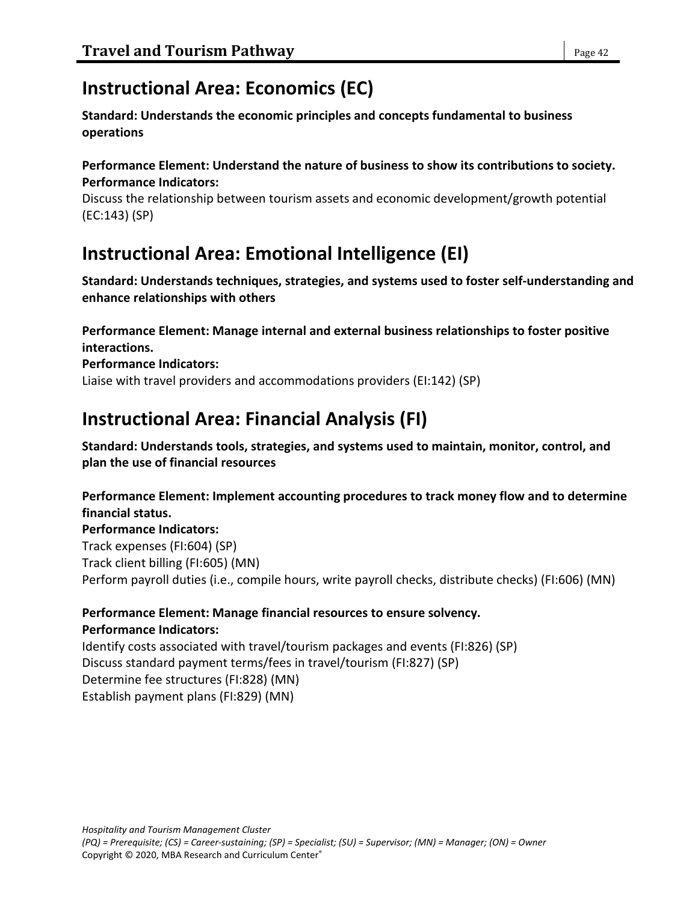## **Instructional Area: Economics (EC)**

**Standard: Understands the economic principles and concepts fundamental to business operations**

### **Performance Element: Understand the nature of business to show its contributions to society. Performance Indicators:**

Discuss the relationship between tourism assets and economic development/growth potential (EC:143) (SP)

# **Instructional Area: Emotional Intelligence (EI)**

**Standard: Understands techniques, strategies, and systems used to foster self-understanding and enhance relationships with others**

**Performance Element: Manage internal and external business relationships to foster positive interactions.**

**Performance Indicators:**

Liaise with travel providers and accommodations providers (EI:142) (SP)

## **Instructional Area: Financial Analysis (FI)**

**Standard: Understands tools, strategies, and systems used to maintain, monitor, control, and plan the use of financial resources**

**Performance Element: Implement accounting procedures to track money flow and to determine financial status.**

**Performance Indicators:** Track expenses (FI:604) (SP) Track client billing (FI:605) (MN) Perform payroll duties (i.e., compile hours, write payroll checks, distribute checks) (FI:606) (MN)

### **Performance Element: Manage financial resources to ensure solvency. Performance Indicators:**

Identify costs associated with travel/tourism packages and events (FI:826) (SP) Discuss standard payment terms/fees in travel/tourism (FI:827) (SP) Determine fee structures (FI:828) (MN) Establish payment plans (FI:829) (MN)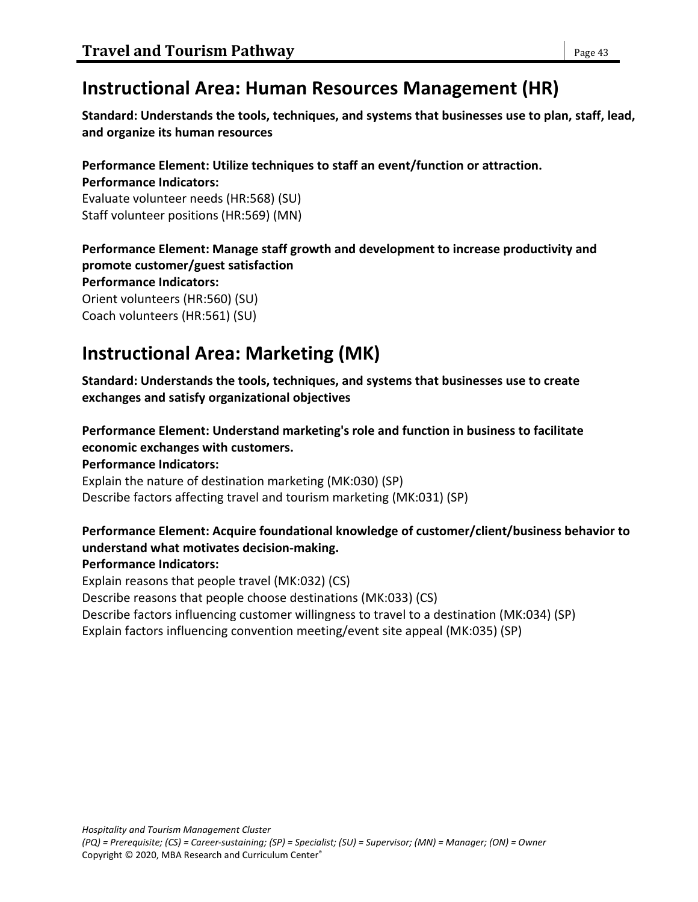## **Instructional Area: Human Resources Management (HR)**

**Standard: Understands the tools, techniques, and systems that businesses use to plan, staff, lead, and organize its human resources**

**Performance Element: Utilize techniques to staff an event/function or attraction. Performance Indicators:** Evaluate volunteer needs (HR:568) (SU) Staff volunteer positions (HR:569) (MN)

**Performance Element: Manage staff growth and development to increase productivity and promote customer/guest satisfaction Performance Indicators:** Orient volunteers (HR:560) (SU)

Coach volunteers (HR:561) (SU)

# **Instructional Area: Marketing (MK)**

**Standard: Understands the tools, techniques, and systems that businesses use to create exchanges and satisfy organizational objectives**

**Performance Element: Understand marketing's role and function in business to facilitate economic exchanges with customers.**

**Performance Indicators:**

Explain the nature of destination marketing (MK:030) (SP) Describe factors affecting travel and tourism marketing (MK:031) (SP)

## **Performance Element: Acquire foundational knowledge of customer/client/business behavior to understand what motivates decision-making.**

## **Performance Indicators:**

Explain reasons that people travel (MK:032) (CS) Describe reasons that people choose destinations (MK:033) (CS) Describe factors influencing customer willingness to travel to a destination (MK:034) (SP) Explain factors influencing convention meeting/event site appeal (MK:035) (SP)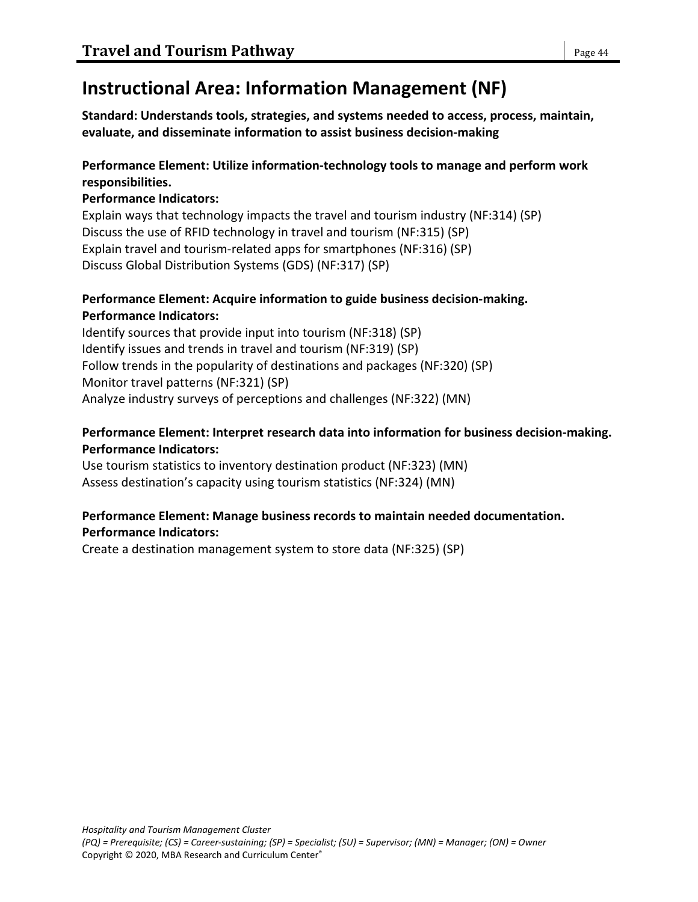# **Instructional Area: Information Management (NF)**

**Standard: Understands tools, strategies, and systems needed to access, process, maintain, evaluate, and disseminate information to assist business decision-making**

## **Performance Element: Utilize information-technology tools to manage and perform work responsibilities.**

## **Performance Indicators:**

Explain ways that technology impacts the travel and tourism industry (NF:314) (SP) Discuss the use of RFID technology in travel and tourism (NF:315) (SP) Explain travel and tourism-related apps for smartphones (NF:316) (SP) Discuss Global Distribution Systems (GDS) (NF:317) (SP)

## **Performance Element: Acquire information to guide business decision-making. Performance Indicators:**

Identify sources that provide input into tourism (NF:318) (SP) Identify issues and trends in travel and tourism (NF:319) (SP) Follow trends in the popularity of destinations and packages (NF:320) (SP) Monitor travel patterns (NF:321) (SP) Analyze industry surveys of perceptions and challenges (NF:322) (MN)

## **Performance Element: Interpret research data into information for business decision-making. Performance Indicators:**

Use tourism statistics to inventory destination product (NF:323) (MN) Assess destination's capacity using tourism statistics (NF:324) (MN)

## **Performance Element: Manage business records to maintain needed documentation. Performance Indicators:**

Create a destination management system to store data (NF:325) (SP)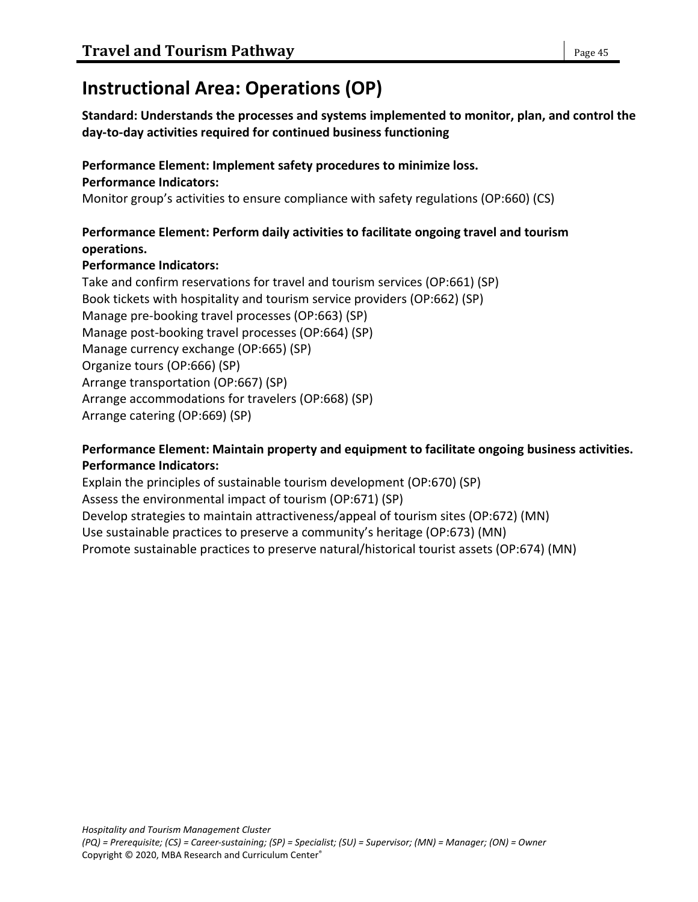# **Instructional Area: Operations (OP)**

**Standard: Understands the processes and systems implemented to monitor, plan, and control the day-to-day activities required for continued business functioning**

#### **Performance Element: Implement safety procedures to minimize loss. Performance Indicators:**

Monitor group's activities to ensure compliance with safety regulations (OP:660) (CS)

## **Performance Element: Perform daily activities to facilitate ongoing travel and tourism operations.**

## **Performance Indicators:**

Take and confirm reservations for travel and tourism services (OP:661) (SP) Book tickets with hospitality and tourism service providers (OP:662) (SP) Manage pre-booking travel processes (OP:663) (SP) Manage post-booking travel processes (OP:664) (SP) Manage currency exchange (OP:665) (SP) Organize tours (OP:666) (SP) Arrange transportation (OP:667) (SP) Arrange accommodations for travelers (OP:668) (SP) Arrange catering (OP:669) (SP)

### **Performance Element: Maintain property and equipment to facilitate ongoing business activities. Performance Indicators:**

Explain the principles of sustainable tourism development (OP:670) (SP) Assess the environmental impact of tourism (OP:671) (SP) Develop strategies to maintain attractiveness/appeal of tourism sites (OP:672) (MN) Use sustainable practices to preserve a community's heritage (OP:673) (MN) Promote sustainable practices to preserve natural/historical tourist assets (OP:674) (MN)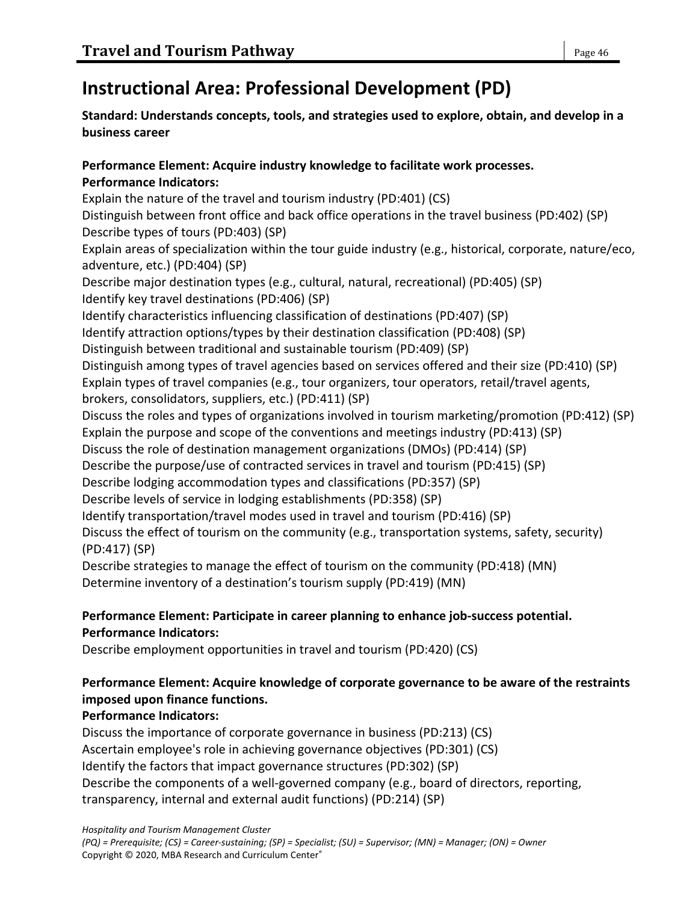# **Instructional Area: Professional Development (PD)**

## **Standard: Understands concepts, tools, and strategies used to explore, obtain, and develop in a business career**

## **Performance Element: Acquire industry knowledge to facilitate work processes. Performance Indicators:**

Explain the nature of the travel and tourism industry (PD:401) (CS) Distinguish between front office and back office operations in the travel business (PD:402) (SP) Describe types of tours (PD:403) (SP) Explain areas of specialization within the tour guide industry (e.g., historical, corporate, nature/eco, adventure, etc.) (PD:404) (SP) Describe major destination types (e.g., cultural, natural, recreational) (PD:405) (SP) Identify key travel destinations (PD:406) (SP) Identify characteristics influencing classification of destinations (PD:407) (SP) Identify attraction options/types by their destination classification (PD:408) (SP) Distinguish between traditional and sustainable tourism (PD:409) (SP) Distinguish among types of travel agencies based on services offered and their size (PD:410) (SP) Explain types of travel companies (e.g., tour organizers, tour operators, retail/travel agents, brokers, consolidators, suppliers, etc.) (PD:411) (SP) Discuss the roles and types of organizations involved in tourism marketing/promotion (PD:412) (SP) Explain the purpose and scope of the conventions and meetings industry (PD:413) (SP) Discuss the role of destination management organizations (DMOs) (PD:414) (SP) Describe the purpose/use of contracted services in travel and tourism (PD:415) (SP) Describe lodging accommodation types and classifications (PD:357) (SP) Describe levels of service in lodging establishments (PD:358) (SP) Identify transportation/travel modes used in travel and tourism (PD:416) (SP) Discuss the effect of tourism on the community (e.g., transportation systems, safety, security) (PD:417) (SP) Describe strategies to manage the effect of tourism on the community (PD:418) (MN) Determine inventory of a destination's tourism supply (PD:419) (MN)

## **Performance Element: Participate in career planning to enhance job-success potential. Performance Indicators:**

Describe employment opportunities in travel and tourism (PD:420) (CS)

## **Performance Element: Acquire knowledge of corporate governance to be aware of the restraints imposed upon finance functions.**

## **Performance Indicators:**

Discuss the importance of corporate governance in business (PD:213) (CS) Ascertain employee's role in achieving governance objectives (PD:301) (CS) Identify the factors that impact governance structures (PD:302) (SP) Describe the components of a well-governed company (e.g., board of directors, reporting, transparency, internal and external audit functions) (PD:214) (SP)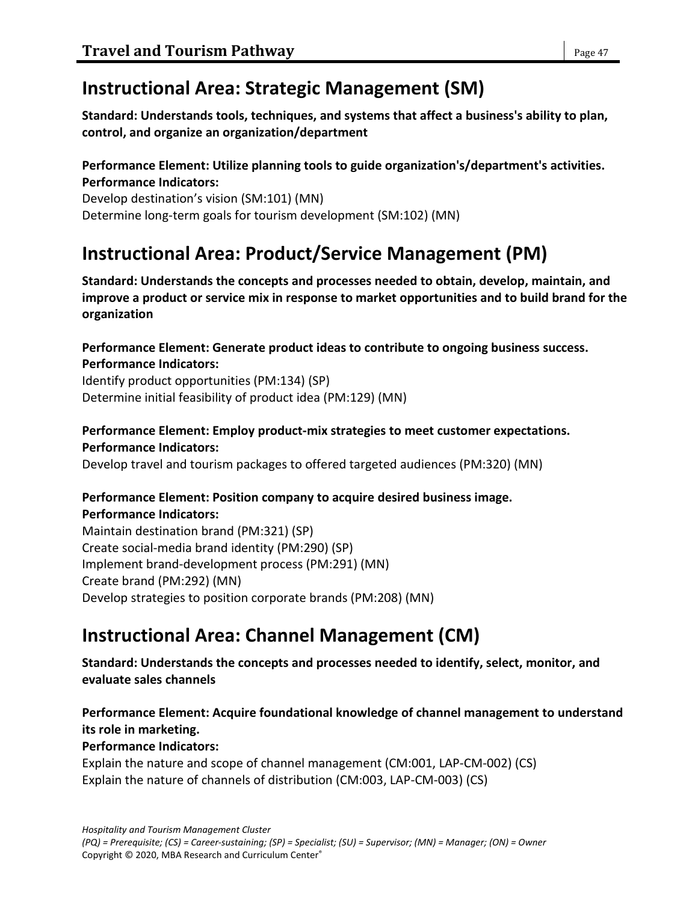# **Instructional Area: Strategic Management (SM)**

**Standard: Understands tools, techniques, and systems that affect a business's ability to plan, control, and organize an organization/department**

### **Performance Element: Utilize planning tools to guide organization's/department's activities. Performance Indicators:**

Develop destination's vision (SM:101) (MN) Determine long-term goals for tourism development (SM:102) (MN)

# **Instructional Area: Product/Service Management (PM)**

**Standard: Understands the concepts and processes needed to obtain, develop, maintain, and improve a product or service mix in response to market opportunities and to build brand for the organization**

**Performance Element: Generate product ideas to contribute to ongoing business success. Performance Indicators:**

Identify product opportunities (PM:134) (SP) Determine initial feasibility of product idea (PM:129) (MN)

## **Performance Element: Employ product-mix strategies to meet customer expectations. Performance Indicators:**

Develop travel and tourism packages to offered targeted audiences (PM:320) (MN)

#### **Performance Element: Position company to acquire desired business image. Performance Indicators:**

Maintain destination brand (PM:321) (SP) Create social-media brand identity (PM:290) (SP) Implement brand-development process (PM:291) (MN) Create brand (PM:292) (MN) Develop strategies to position corporate brands (PM:208) (MN)

# **Instructional Area: Channel Management (CM)**

**Standard: Understands the concepts and processes needed to identify, select, monitor, and evaluate sales channels**

## **Performance Element: Acquire foundational knowledge of channel management to understand its role in marketing.**

### **Performance Indicators:**

Explain the nature and scope of channel management (CM:001, LAP-CM-002) (CS) Explain the nature of channels of distribution (CM:003, LAP-CM-003) (CS)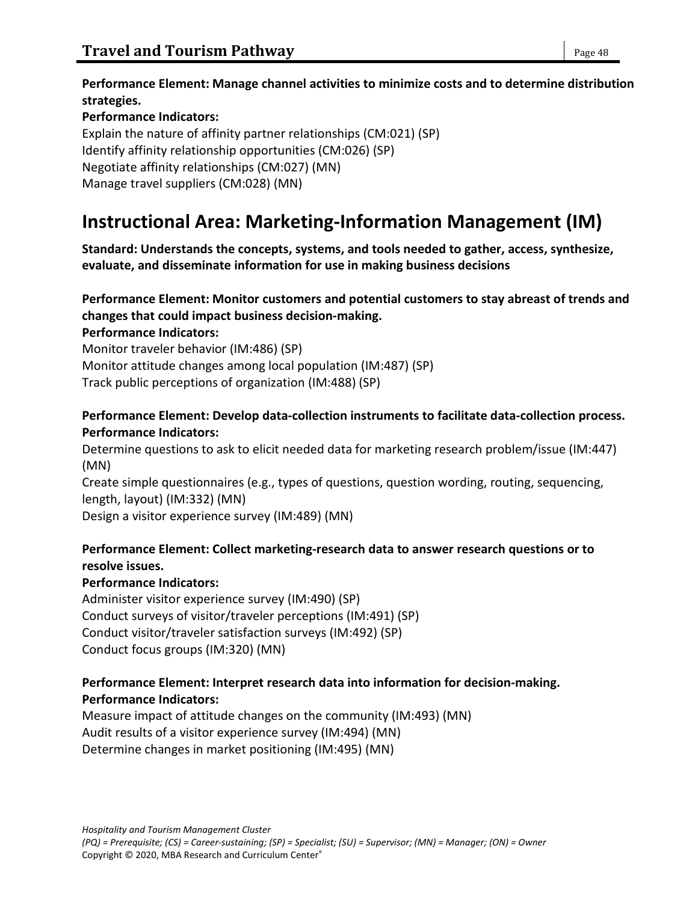**Performance Element: Manage channel activities to minimize costs and to determine distribution strategies.**

**Performance Indicators:** Explain the nature of affinity partner relationships (CM:021) (SP) Identify affinity relationship opportunities (CM:026) (SP) Negotiate affinity relationships (CM:027) (MN) Manage travel suppliers (CM:028) (MN)

# **Instructional Area: Marketing-Information Management (IM)**

**Standard: Understands the concepts, systems, and tools needed to gather, access, synthesize, evaluate, and disseminate information for use in making business decisions**

## **Performance Element: Monitor customers and potential customers to stay abreast of trends and changes that could impact business decision-making.**

**Performance Indicators:**

Monitor traveler behavior (IM:486) (SP) Monitor attitude changes among local population (IM:487) (SP)

Track public perceptions of organization (IM:488) (SP)

## **Performance Element: Develop data-collection instruments to facilitate data-collection process. Performance Indicators:**

Determine questions to ask to elicit needed data for marketing research problem/issue (IM:447) (MN)

Create simple questionnaires (e.g., types of questions, question wording, routing, sequencing, length, layout) (IM:332) (MN)

Design a visitor experience survey (IM:489) (MN)

## **Performance Element: Collect marketing-research data to answer research questions or to resolve issues.**

## **Performance Indicators:**

Administer visitor experience survey (IM:490) (SP) Conduct surveys of visitor/traveler perceptions (IM:491) (SP) Conduct visitor/traveler satisfaction surveys (IM:492) (SP) Conduct focus groups (IM:320) (MN)

### **Performance Element: Interpret research data into information for decision-making. Performance Indicators:**

Measure impact of attitude changes on the community (IM:493) (MN) Audit results of a visitor experience survey (IM:494) (MN) Determine changes in market positioning (IM:495) (MN)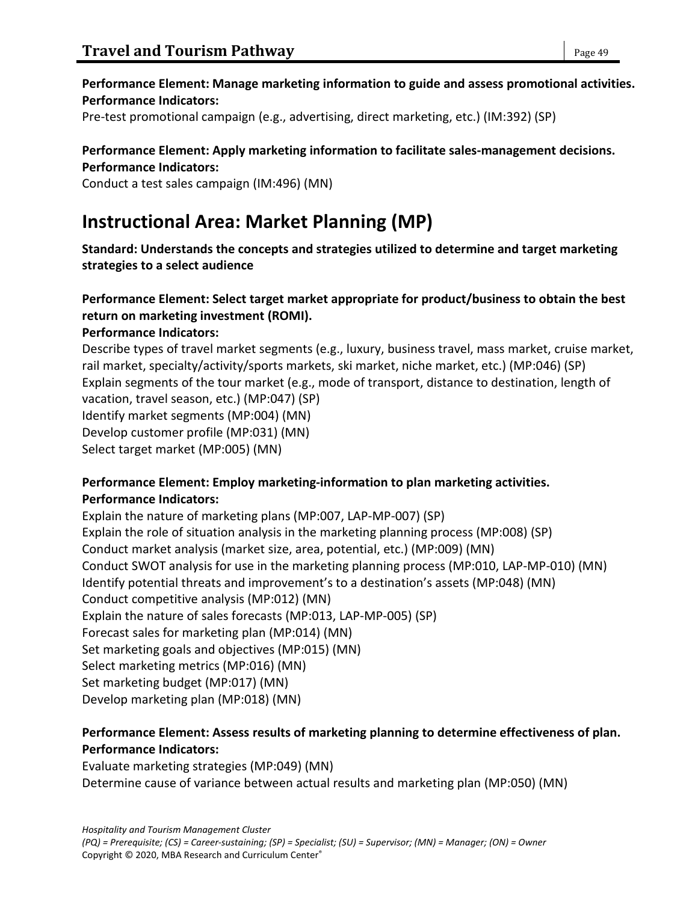## **Performance Element: Manage marketing information to guide and assess promotional activities. Performance Indicators:**

Pre-test promotional campaign (e.g., advertising, direct marketing, etc.) (IM:392) (SP)

# **Performance Element: Apply marketing information to facilitate sales-management decisions.**

**Performance Indicators:**

Conduct a test sales campaign (IM:496) (MN)

# **Instructional Area: Market Planning (MP)**

**Standard: Understands the concepts and strategies utilized to determine and target marketing strategies to a select audience**

## **Performance Element: Select target market appropriate for product/business to obtain the best return on marketing investment (ROMI).**

## **Performance Indicators:**

Describe types of travel market segments (e.g., luxury, business travel, mass market, cruise market, rail market, specialty/activity/sports markets, ski market, niche market, etc.) (MP:046) (SP) Explain segments of the tour market (e.g., mode of transport, distance to destination, length of vacation, travel season, etc.) (MP:047) (SP) Identify market segments (MP:004) (MN)

Develop customer profile (MP:031) (MN)

Select target market (MP:005) (MN)

## **Performance Element: Employ marketing-information to plan marketing activities. Performance Indicators:**

Explain the nature of marketing plans (MP:007, LAP-MP-007) (SP) Explain the role of situation analysis in the marketing planning process (MP:008) (SP) Conduct market analysis (market size, area, potential, etc.) (MP:009) (MN) Conduct SWOT analysis for use in the marketing planning process (MP:010, LAP-MP-010) (MN) Identify potential threats and improvement's to a destination's assets (MP:048) (MN) Conduct competitive analysis (MP:012) (MN) Explain the nature of sales forecasts (MP:013, LAP-MP-005) (SP) Forecast sales for marketing plan (MP:014) (MN) Set marketing goals and objectives (MP:015) (MN) Select marketing metrics (MP:016) (MN) Set marketing budget (MP:017) (MN) Develop marketing plan (MP:018) (MN)

## **Performance Element: Assess results of marketing planning to determine effectiveness of plan. Performance Indicators:**

Evaluate marketing strategies (MP:049) (MN) Determine cause of variance between actual results and marketing plan (MP:050) (MN)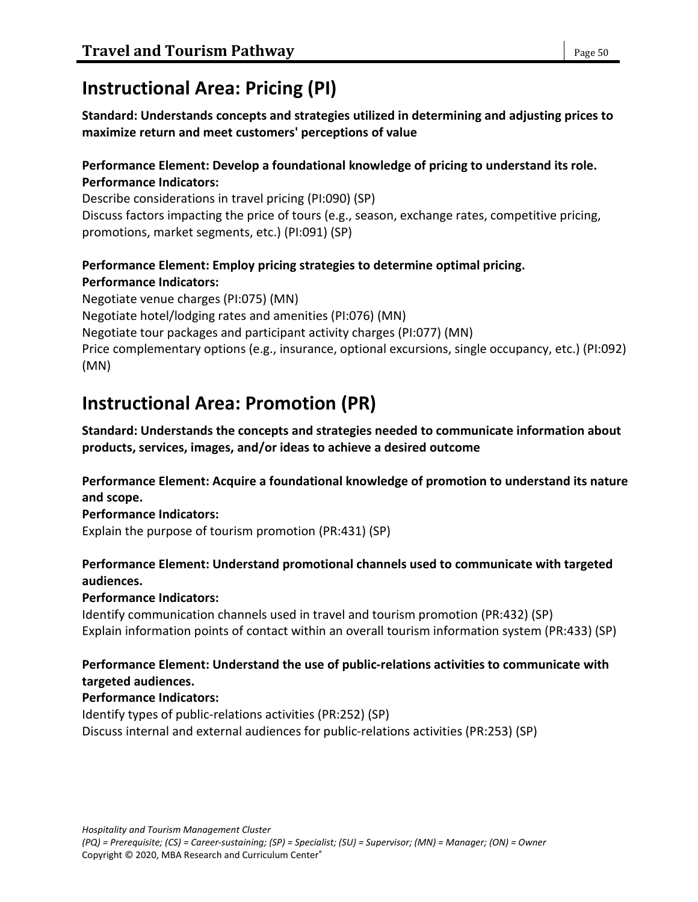## **Instructional Area: Pricing (PI)**

**Standard: Understands concepts and strategies utilized in determining and adjusting prices to maximize return and meet customers' perceptions of value**

### **Performance Element: Develop a foundational knowledge of pricing to understand its role. Performance Indicators:**

Describe considerations in travel pricing (PI:090) (SP) Discuss factors impacting the price of tours (e.g., season, exchange rates, competitive pricing, promotions, market segments, etc.) (PI:091) (SP)

## **Performance Element: Employ pricing strategies to determine optimal pricing. Performance Indicators:**

Negotiate venue charges (PI:075) (MN) Negotiate hotel/lodging rates and amenities (PI:076) (MN) Negotiate tour packages and participant activity charges (PI:077) (MN) Price complementary options (e.g., insurance, optional excursions, single occupancy, etc.) (PI:092) (MN)

# **Instructional Area: Promotion (PR)**

**Standard: Understands the concepts and strategies needed to communicate information about products, services, images, and/or ideas to achieve a desired outcome**

**Performance Element: Acquire a foundational knowledge of promotion to understand its nature and scope.**

**Performance Indicators:**

Explain the purpose of tourism promotion (PR:431) (SP)

## **Performance Element: Understand promotional channels used to communicate with targeted audiences.**

**Performance Indicators:**

Identify communication channels used in travel and tourism promotion (PR:432) (SP) Explain information points of contact within an overall tourism information system (PR:433) (SP)

### **Performance Element: Understand the use of public-relations activities to communicate with targeted audiences.**

## **Performance Indicators:**

Identify types of public-relations activities (PR:252) (SP) Discuss internal and external audiences for public-relations activities (PR:253) (SP)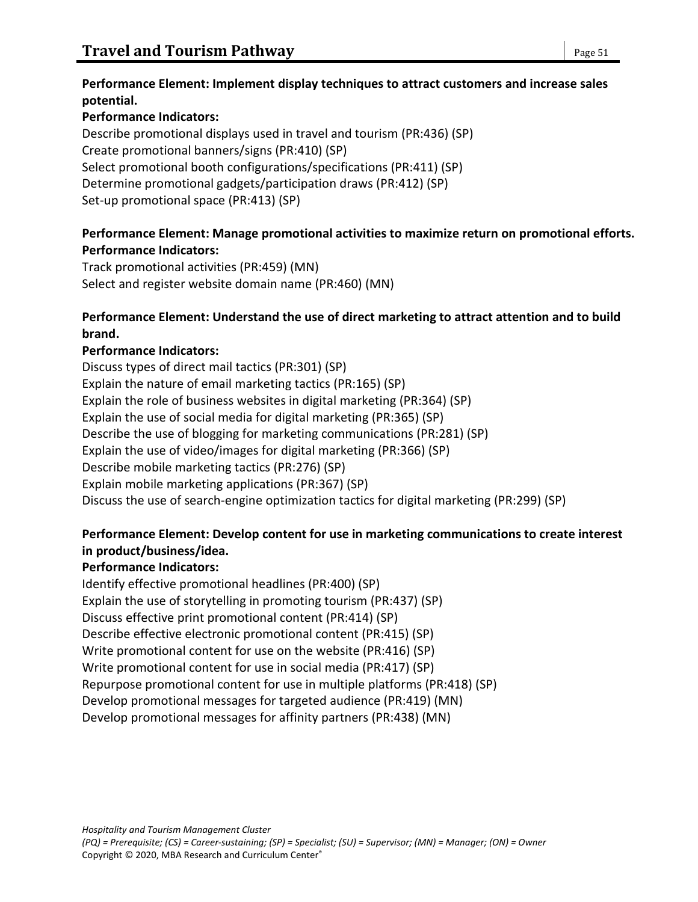### **Performance Element: Implement display techniques to attract customers and increase sales potential.**

## **Performance Indicators:**

Describe promotional displays used in travel and tourism (PR:436) (SP) Create promotional banners/signs (PR:410) (SP) Select promotional booth configurations/specifications (PR:411) (SP) Determine promotional gadgets/participation draws (PR:412) (SP) Set-up promotional space (PR:413) (SP)

## **Performance Element: Manage promotional activities to maximize return on promotional efforts. Performance Indicators:**

Track promotional activities (PR:459) (MN) Select and register website domain name (PR:460) (MN)

## **Performance Element: Understand the use of direct marketing to attract attention and to build brand.**

## **Performance Indicators:**

Discuss types of direct mail tactics (PR:301) (SP) Explain the nature of email marketing tactics (PR:165) (SP) Explain the role of business websites in digital marketing (PR:364) (SP) Explain the use of social media for digital marketing (PR:365) (SP) Describe the use of blogging for marketing communications (PR:281) (SP) Explain the use of video/images for digital marketing (PR:366) (SP) Describe mobile marketing tactics (PR:276) (SP) Explain mobile marketing applications (PR:367) (SP) Discuss the use of search-engine optimization tactics for digital marketing (PR:299) (SP)

## **Performance Element: Develop content for use in marketing communications to create interest in product/business/idea.**

## **Performance Indicators:**

Identify effective promotional headlines (PR:400) (SP) Explain the use of storytelling in promoting tourism (PR:437) (SP) Discuss effective print promotional content (PR:414) (SP) Describe effective electronic promotional content (PR:415) (SP) Write promotional content for use on the website (PR:416) (SP) Write promotional content for use in social media (PR:417) (SP) Repurpose promotional content for use in multiple platforms (PR:418) (SP) Develop promotional messages for targeted audience (PR:419) (MN) Develop promotional messages for affinity partners (PR:438) (MN)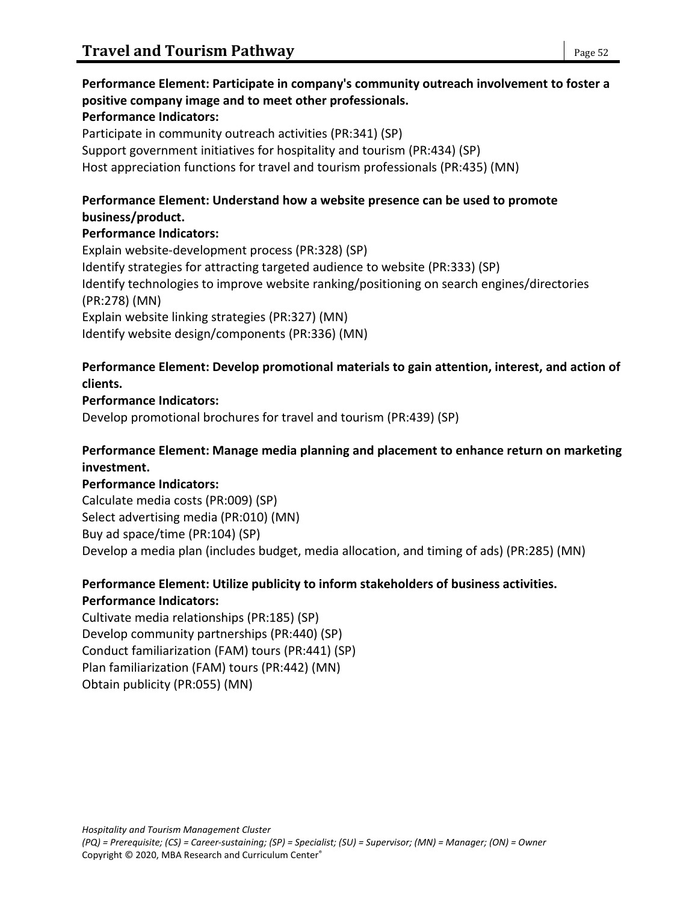### **Performance Element: Participate in company's community outreach involvement to foster a positive company image and to meet other professionals. Performance Indicators:**

Participate in community outreach activities (PR:341) (SP) Support government initiatives for hospitality and tourism (PR:434) (SP) Host appreciation functions for travel and tourism professionals (PR:435) (MN)

### **Performance Element: Understand how a website presence can be used to promote business/product.**

### **Performance Indicators:**

Explain website-development process (PR:328) (SP) Identify strategies for attracting targeted audience to website (PR:333) (SP) Identify technologies to improve website ranking/positioning on search engines/directories (PR:278) (MN) Explain website linking strategies (PR:327) (MN) Identify website design/components (PR:336) (MN)

### **Performance Element: Develop promotional materials to gain attention, interest, and action of clients.**

### **Performance Indicators:**

Develop promotional brochures for travel and tourism (PR:439) (SP)

### **Performance Element: Manage media planning and placement to enhance return on marketing investment.**

### **Performance Indicators:** Calculate media costs (PR:009) (SP) Select advertising media (PR:010) (MN) Buy ad space/time (PR:104) (SP) Develop a media plan (includes budget, media allocation, and timing of ads) (PR:285) (MN)

#### **Performance Element: Utilize publicity to inform stakeholders of business activities. Performance Indicators:**

Cultivate media relationships (PR:185) (SP) Develop community partnerships (PR:440) (SP) Conduct familiarization (FAM) tours (PR:441) (SP) Plan familiarization (FAM) tours (PR:442) (MN) Obtain publicity (PR:055) (MN)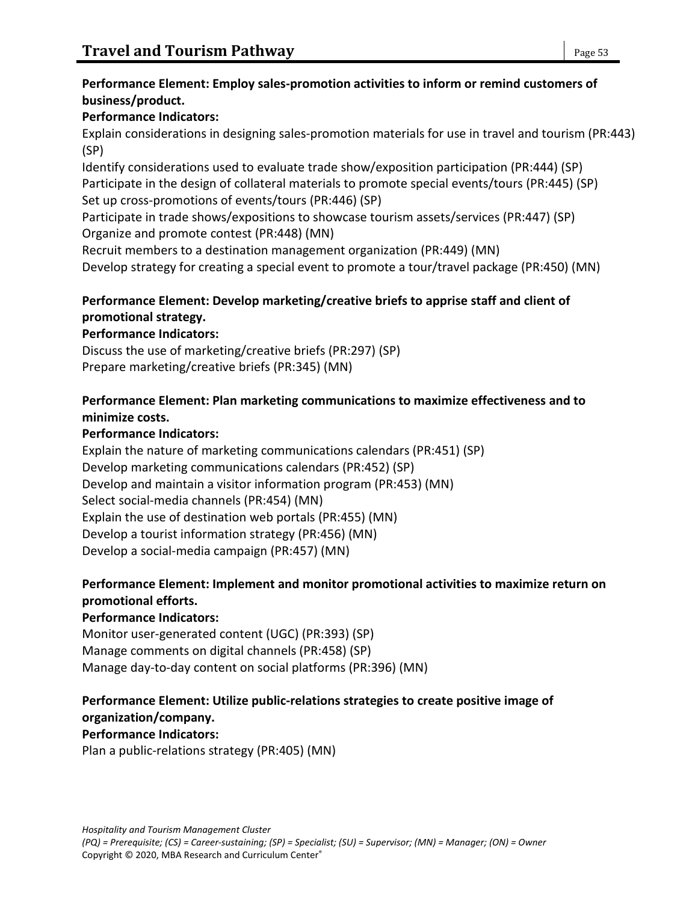## **Performance Element: Employ sales-promotion activities to inform or remind customers of business/product.**

## **Performance Indicators:**

Explain considerations in designing sales-promotion materials for use in travel and tourism (PR:443) (SP)

Identify considerations used to evaluate trade show/exposition participation (PR:444) (SP) Participate in the design of collateral materials to promote special events/tours (PR:445) (SP) Set up cross-promotions of events/tours (PR:446) (SP)

Participate in trade shows/expositions to showcase tourism assets/services (PR:447) (SP) Organize and promote contest (PR:448) (MN)

Recruit members to a destination management organization (PR:449) (MN)

Develop strategy for creating a special event to promote a tour/travel package (PR:450) (MN)

## **Performance Element: Develop marketing/creative briefs to apprise staff and client of promotional strategy.**

## **Performance Indicators:**

Discuss the use of marketing/creative briefs (PR:297) (SP) Prepare marketing/creative briefs (PR:345) (MN)

## **Performance Element: Plan marketing communications to maximize effectiveness and to minimize costs.**

## **Performance Indicators:**

Explain the nature of marketing communications calendars (PR:451) (SP) Develop marketing communications calendars (PR:452) (SP) Develop and maintain a visitor information program (PR:453) (MN) Select social-media channels (PR:454) (MN) Explain the use of destination web portals (PR:455) (MN) Develop a tourist information strategy (PR:456) (MN) Develop a social-media campaign (PR:457) (MN)

## **Performance Element: Implement and monitor promotional activities to maximize return on promotional efforts.**

## **Performance Indicators:**

Monitor user-generated content (UGC) (PR:393) (SP) Manage comments on digital channels (PR:458) (SP) Manage day-to-day content on social platforms (PR:396) (MN)

#### **Performance Element: Utilize public-relations strategies to create positive image of organization/company.**

## **Performance Indicators:**

Plan a public-relations strategy (PR:405) (MN)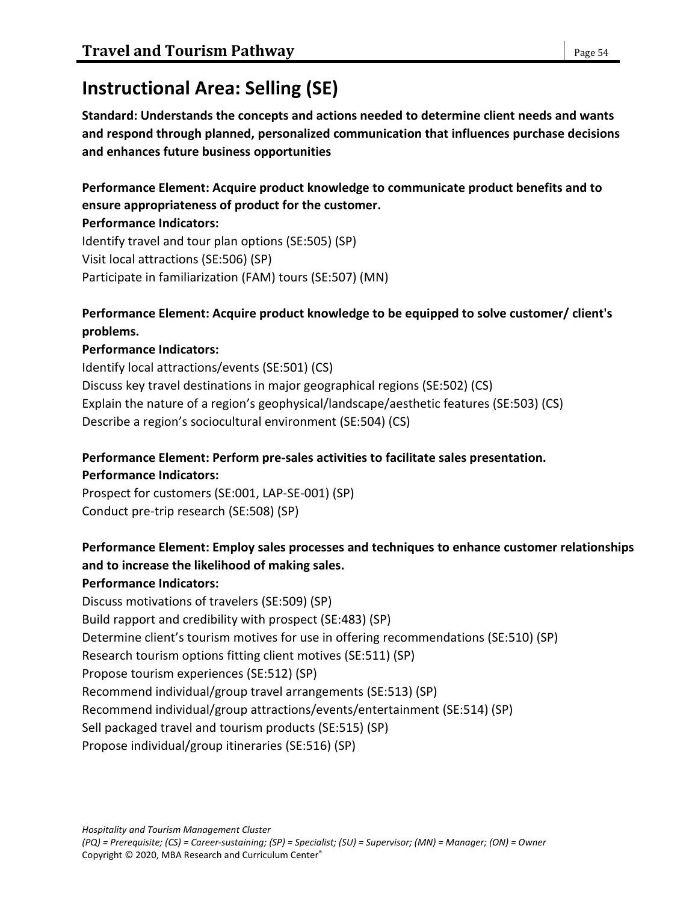# **Instructional Area: Selling (SE)**

**Standard: Understands the concepts and actions needed to determine client needs and wants and respond through planned, personalized communication that influences purchase decisions and enhances future business opportunities**

**Performance Element: Acquire product knowledge to communicate product benefits and to ensure appropriateness of product for the customer.**

### **Performance Indicators:**

Identify travel and tour plan options (SE:505) (SP) Visit local attractions (SE:506) (SP) Participate in familiarization (FAM) tours (SE:507) (MN)

## **Performance Element: Acquire product knowledge to be equipped to solve customer/ client's problems.**

## **Performance Indicators:**

Identify local attractions/events (SE:501) (CS) Discuss key travel destinations in major geographical regions (SE:502) (CS) Explain the nature of a region's geophysical/landscape/aesthetic features (SE:503) (CS) Describe a region's sociocultural environment (SE:504) (CS)

## **Performance Element: Perform pre-sales activities to facilitate sales presentation. Performance Indicators:**

Prospect for customers (SE:001, LAP-SE-001) (SP) Conduct pre-trip research (SE:508) (SP)

## **Performance Element: Employ sales processes and techniques to enhance customer relationships and to increase the likelihood of making sales.**

## **Performance Indicators:**

Discuss motivations of travelers (SE:509) (SP) Build rapport and credibility with prospect (SE:483) (SP) Determine client's tourism motives for use in offering recommendations (SE:510) (SP) Research tourism options fitting client motives (SE:511) (SP) Propose tourism experiences (SE:512) (SP) Recommend individual/group travel arrangements (SE:513) (SP) Recommend individual/group attractions/events/entertainment (SE:514) (SP) Sell packaged travel and tourism products (SE:515) (SP) Propose individual/group itineraries (SE:516) (SP)